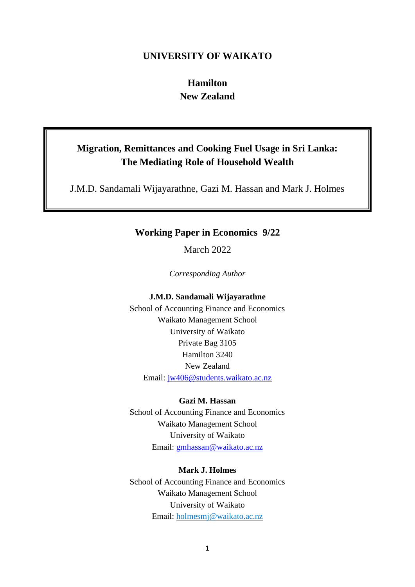# **UNIVERSITY OF WAIKATO**

# **Hamilton New Zealand**

# **Migration, Remittances and Cooking Fuel Usage in Sri Lanka: The Mediating Role of Household Wealth**

J.M.D. Sandamali Wijayarathne, Gazi M. Hassan and Mark J. Holmes

# **Working Paper in Economics 9/22**

March 2022

*Corresponding Author*

### **J.M.D. Sandamali Wijayarathne**

School of Accounting Finance and Economics Waikato Management School University of Waikato Private Bag 3105 Hamilton 3240 New Zealand Email: [jw406@students.waikato.ac.nz](mailto:jw406@students.waikato.ac.nz)

# **Gazi M. Hassan**

School of Accounting Finance and Economics Waikato Management School University of Waikato Email: [gmhassan@waikato.ac.nz](mailto:gmhassan@waikato.ac.nz)

# **Mark J. Holmes**

School of Accounting Finance and Economics Waikato Management School University of Waikato Email: [holmesmj@waikato.ac.nz](mailto:holmesmj@waikato.ac.nz)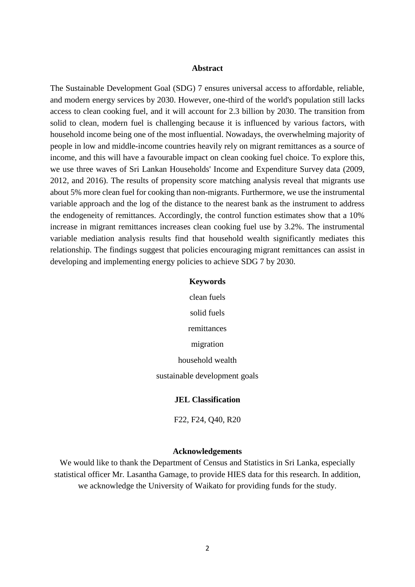#### **Abstract**

The Sustainable Development Goal (SDG) 7 ensures universal access to affordable, reliable, and modern energy services by 2030. However, one-third of the world's population still lacks access to clean cooking fuel, and it will account for 2.3 billion by 2030. The transition from solid to clean, modern fuel is challenging because it is influenced by various factors, with household income being one of the most influential. Nowadays, the overwhelming majority of people in low and middle-income countries heavily rely on migrant remittances as a source of income, and this will have a favourable impact on clean cooking fuel choice. To explore this, we use three waves of Sri Lankan Households' Income and Expenditure Survey data (2009, 2012, and 2016). The results of propensity score matching analysis reveal that migrants use about 5% more clean fuel for cooking than non-migrants. Furthermore, we use the instrumental variable approach and the log of the distance to the nearest bank as the instrument to address the endogeneity of remittances. Accordingly, the control function estimates show that a 10% increase in migrant remittances increases clean cooking fuel use by 3.2%. The instrumental variable mediation analysis results find that household wealth significantly mediates this relationship. The findings suggest that policies encouraging migrant remittances can assist in developing and implementing energy policies to achieve SDG 7 by 2030.

#### **Keywords**

clean fuels solid fuels remittances migration household wealth sustainable development goals

#### **JEL Classification**

F22, F24, Q40, R20

#### **Acknowledgements**

We would like to thank the Department of Census and Statistics in Sri Lanka, especially statistical officer Mr. Lasantha Gamage, to provide HIES data for this research. In addition, we acknowledge the University of Waikato for providing funds for the study.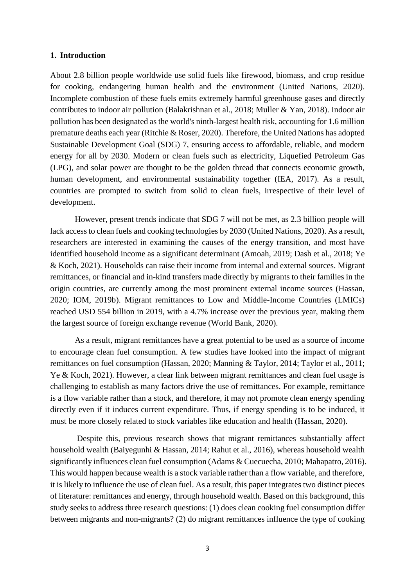### **1. Introduction**

About 2.8 billion people worldwide use solid fuels like firewood, biomass, and crop residue for cooking, endangering human health and the environment (United Nations, 2020). Incomplete combustion of these fuels emits extremely harmful greenhouse gases and directly contributes to indoor air pollution (Balakrishnan et al., 2018; Muller & Yan, 2018). Indoor air pollution has been designated as the world's ninth-largest health risk, accounting for 1.6 million premature deaths each year (Ritchie & Roser, 2020). Therefore, the United Nations has adopted Sustainable Development Goal (SDG) 7, ensuring access to affordable, reliable, and modern energy for all by 2030. Modern or clean fuels such as electricity, Liquefied Petroleum Gas (LPG), and solar power are thought to be the golden thread that connects economic growth, human development, and environmental sustainability together (IEA, 2017). As a result, countries are prompted to switch from solid to clean fuels, irrespective of their level of development.

However, present trends indicate that SDG 7 will not be met, as 2.3 billion people will lack access to clean fuels and cooking technologies by 2030 (United Nations, 2020). As a result, researchers are interested in examining the causes of the energy transition, and most have identified household income as a significant determinant (Amoah, 2019; Dash et al., 2018; Ye & Koch, 2021). Households can raise their income from internal and external sources. Migrant remittances, or financial and in-kind transfers made directly by migrants to their families in the origin countries, are currently among the most prominent external income sources (Hassan, 2020; IOM, 2019b). Migrant remittances to Low and Middle-Income Countries (LMICs) reached USD 554 billion in 2019, with a 4.7% increase over the previous year, making them the largest source of foreign exchange revenue (World Bank, 2020).

As a result, migrant remittances have a great potential to be used as a source of income to encourage clean fuel consumption. A few studies have looked into the impact of migrant remittances on fuel consumption (Hassan, 2020; Manning & Taylor, 2014; Taylor et al., 2011; Ye & Koch, 2021). However, a clear link between migrant remittances and clean fuel usage is challenging to establish as many factors drive the use of remittances. For example, remittance is a flow variable rather than a stock, and therefore, it may not promote clean energy spending directly even if it induces current expenditure. Thus, if energy spending is to be induced, it must be more closely related to stock variables like education and health (Hassan, 2020).

Despite this, previous research shows that migrant remittances substantially affect household wealth (Baiyegunhi & Hassan, 2014; Rahut et al., 2016), whereas household wealth significantly influences clean fuel consumption (Adams & Cuecuecha, 2010; Mahapatro, 2016). This would happen because wealth is a stock variable rather than a flow variable, and therefore, it is likely to influence the use of clean fuel. As a result, this paper integrates two distinct pieces of literature: remittances and energy, through household wealth. Based on this background, this study seeks to address three research questions: (1) does clean cooking fuel consumption differ between migrants and non-migrants? (2) do migrant remittances influence the type of cooking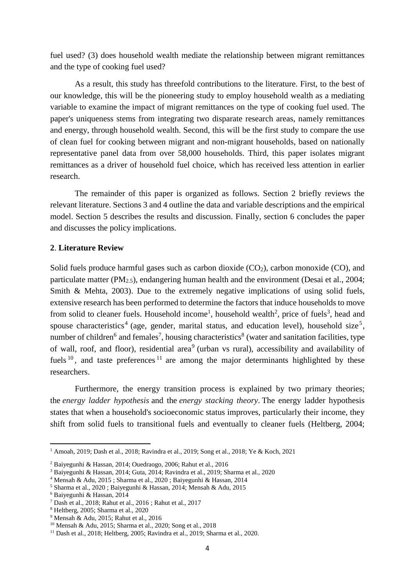fuel used? (3) does household wealth mediate the relationship between migrant remittances and the type of cooking fuel used?

As a result, this study has threefold contributions to the literature. First, to the best of our knowledge, this will be the pioneering study to employ household wealth as a mediating variable to examine the impact of migrant remittances on the type of cooking fuel used. The paper's uniqueness stems from integrating two disparate research areas, namely remittances and energy, through household wealth. Second, this will be the first study to compare the use of clean fuel for cooking between migrant and non-migrant households, based on nationally representative panel data from over 58,000 households. Third, this paper isolates migrant remittances as a driver of household fuel choice, which has received less attention in earlier research.

The remainder of this paper is organized as follows. Section 2 briefly reviews the relevant literature. Sections 3 and 4 outline the data and variable descriptions and the empirical model. Section 5 describes the results and discussion. Finally, section 6 concludes the paper and discusses the policy implications.

#### **2**. **Literature Review**

Solid fuels produce harmful gases such as carbon dioxide  $(CO<sub>2</sub>)$ , carbon monoxide  $(CO)$ , and particulate matter (PM2.5), endangering human health and the environment (Desai et al., 2004; Smith & Mehta, 2003). Due to the extremely negative implications of using solid fuels, extensive research has been performed to determine the factors that induce households to move from solid to cleaner fuels. Household income<sup>1</sup>, household wealth<sup>2</sup>, price of fuels<sup>3</sup>, head and spouse characteristics<sup>4</sup> (age, gender, marital status, and education level), household size<sup>5</sup>, number of children<sup>6</sup> and females<sup>7</sup>, housing characteristics<sup>8</sup> (water and sanitation facilities, type of wall, roof, and floor), residential area<sup>9</sup> (urban vs rural), accessibility and availability of fuels  $10$ , and taste preferences  $11$  are among the major determinants highlighted by these researchers.

Furthermore, the energy transition process is explained by two primary theories; the *energy ladder hypothesis* and the *energy stacking theory*. The energy ladder hypothesis states that when a household's socioeconomic status improves, particularly their income, they shift from solid fuels to transitional fuels and eventually to cleaner fuels (Heltberg, 2004;

**.** 

<sup>1</sup> Amoah, 2019; Dash et al., 2018; Ravindra et al., 2019; Song et al., 2018; Ye & Koch, 2021

<sup>2</sup> Baiyegunhi & Hassan, 2014; Ouedraogo, 2006; Rahut et al., 2016

<sup>3</sup> Baiyegunhi & Hassan, 2014; Guta, 2014; Ravindra et al., 2019; Sharma et al., 2020

<sup>4</sup> Mensah & Adu, 2015 ; Sharma et al., 2020 ; Baiyegunhi & Hassan, 2014

<sup>5</sup> Sharma et al., 2020 ; Baiyegunhi & Hassan, 2014; Mensah & Adu, 2015

<sup>6</sup> Baiyegunhi & Hassan, 2014

<sup>7</sup> Dash et al., 2018; Rahut et al., 2016 ; Rahut et al., 2017

<sup>8</sup> Heltberg, 2005; Sharma et al., 2020

<sup>9</sup> Mensah & Adu, 2015; Rahut et al., 2016

<sup>10</sup> Mensah & Adu, 2015; Sharma et al., 2020; Song et al., 2018

 $11$  Dash et al., 2018; Heltberg, 2005; Ravindra et al., 2019; Sharma et al., 2020.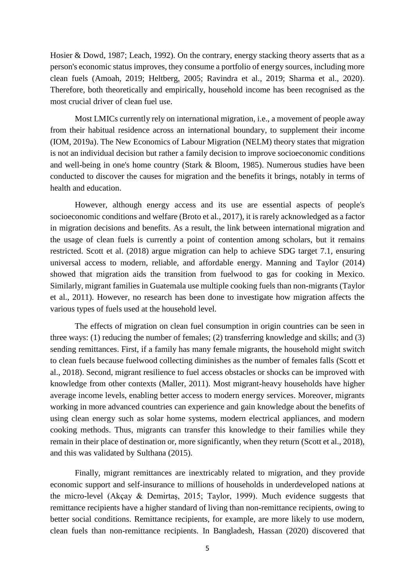Hosier & Dowd, 1987; Leach, 1992). On the contrary, energy stacking theory asserts that as a person's economic status improves, they consume a portfolio of energy sources, including more clean fuels (Amoah, 2019; Heltberg, 2005; Ravindra et al., 2019; Sharma et al., 2020). Therefore, both theoretically and empirically, household income has been recognised as the most crucial driver of clean fuel use.

Most LMICs currently rely on international migration, i.e., a movement of people away from their habitual residence across an international boundary, to supplement their income (IOM, 2019a). The New Economics of Labour Migration (NELM) theory states that migration is not an individual decision but rather a family decision to improve socioeconomic conditions and well-being in one's home country (Stark & Bloom, 1985). Numerous studies have been conducted to discover the causes for migration and the benefits it brings, notably in terms of health and education.

However, although energy access and its use are essential aspects of people's socioeconomic conditions and welfare (Broto et al., 2017), it is rarely acknowledged as a factor in migration decisions and benefits. As a result, the link between international migration and the usage of clean fuels is currently a point of contention among scholars, but it remains restricted. Scott et al. (2018) argue migration can help to achieve SDG target 7.1, ensuring universal access to modern, reliable, and affordable energy. Manning and Taylor (2014) showed that migration aids the transition from fuelwood to gas for cooking in Mexico. Similarly, migrant families in Guatemala use multiple cooking fuels than non-migrants (Taylor et al., 2011). However, no research has been done to investigate how migration affects the various types of fuels used at the household level.

The effects of migration on clean fuel consumption in origin countries can be seen in three ways: (1) reducing the number of females; (2) transferring knowledge and skills; and (3) sending remittances. First, if a family has many female migrants, the household might switch to clean fuels because fuelwood collecting diminishes as the number of females falls (Scott et al., 2018). Second, migrant resilience to fuel access obstacles or shocks can be improved with knowledge from other contexts (Maller, 2011). Most migrant-heavy households have higher average income levels, enabling better access to modern energy services. Moreover, migrants working in more advanced countries can experience and gain knowledge about the benefits of using clean energy such as solar home systems, modern electrical appliances, and modern cooking methods. Thus, migrants can transfer this knowledge to their families while they remain in their place of destination or, more significantly, when they return (Scott et al., 2018), and this was validated by Sulthana (2015).

Finally, migrant remittances are inextricably related to migration, and they provide economic support and self-insurance to millions of households in underdeveloped nations at the micro-level (Akçay & Demirtaş, 2015; Taylor, 1999). Much evidence suggests that remittance recipients have a higher standard of living than non-remittance recipients, owing to better social conditions. Remittance recipients, for example, are more likely to use modern, clean fuels than non-remittance recipients. In Bangladesh, Hassan (2020) discovered that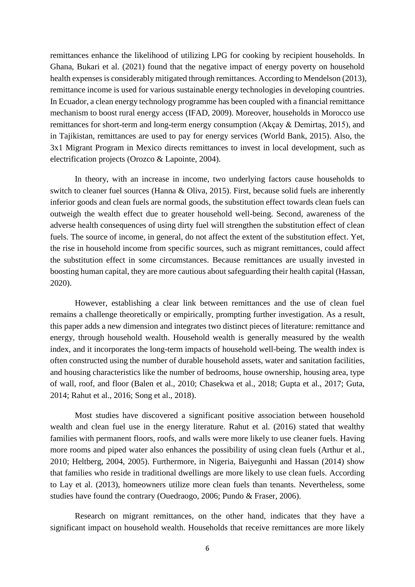remittances enhance the likelihood of utilizing LPG for cooking by recipient households. In Ghana, Bukari et al. (2021) found that the negative impact of energy poverty on household health expenses is considerably mitigated through remittances. According to Mendelson (2013), remittance income is used for various sustainable energy technologies in developing countries. In Ecuador, a clean energy technology programme has been coupled with a financial remittance mechanism to boost rural energy access (IFAD, 2009). Moreover, households in Morocco use remittances for short-term and long-term energy consumption (Akçay & Demirtaş, 2015), and in Tajikistan, remittances are used to pay for energy services (World Bank, 2015). Also, the 3x1 Migrant Program in Mexico directs remittances to invest in local development, such as electrification projects (Orozco & Lapointe, 2004).

In theory, with an increase in income, two underlying factors cause households to switch to cleaner fuel sources (Hanna & Oliva, 2015). First, because solid fuels are inherently inferior goods and clean fuels are normal goods, the substitution effect towards clean fuels can outweigh the wealth effect due to greater household well-being. Second, awareness of the adverse health consequences of using dirty fuel will strengthen the substitution effect of clean fuels. The source of income, in general, do not affect the extent of the substitution effect. Yet, the rise in household income from specific sources, such as migrant remittances, could affect the substitution effect in some circumstances. Because remittances are usually invested in boosting human capital, they are more cautious about safeguarding their health capital (Hassan, 2020).

However, establishing a clear link between remittances and the use of clean fuel remains a challenge theoretically or empirically, prompting further investigation. As a result, this paper adds a new dimension and integrates two distinct pieces of literature: remittance and energy, through household wealth. Household wealth is generally measured by the wealth index, and it incorporates the long-term impacts of household well-being. The wealth index is often constructed using the number of durable household assets, water and sanitation facilities, and housing characteristics like the number of bedrooms, house ownership, housing area, type of wall, roof, and floor (Balen et al., 2010; Chasekwa et al., 2018; Gupta et al., 2017; Guta, 2014; Rahut et al., 2016; Song et al., 2018).

Most studies have discovered a significant positive association between household wealth and clean fuel use in the energy literature. Rahut et al. (2016) stated that wealthy families with permanent floors, roofs, and walls were more likely to use cleaner fuels. Having more rooms and piped water also enhances the possibility of using clean fuels (Arthur et al., 2010; Heltberg, 2004, 2005). Furthermore, in Nigeria, Baiyegunhi and Hassan (2014) show that families who reside in traditional dwellings are more likely to use clean fuels. According to Lay et al. (2013), homeowners utilize more clean fuels than tenants. Nevertheless, some studies have found the contrary (Ouedraogo, 2006; Pundo & Fraser, 2006).

Research on migrant remittances, on the other hand, indicates that they have a significant impact on household wealth. Households that receive remittances are more likely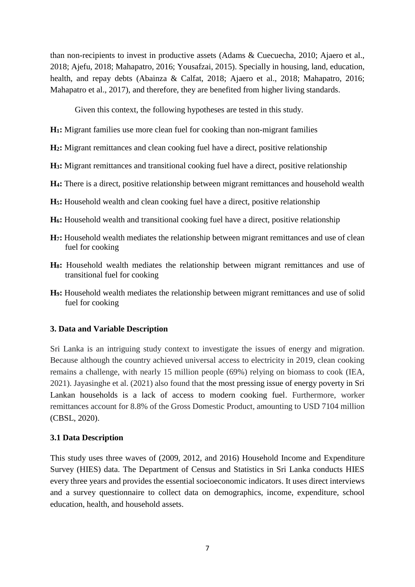than non-recipients to invest in productive assets (Adams & Cuecuecha, 2010; Ajaero et al., 2018; Ajefu, 2018; Mahapatro, 2016; Yousafzai, 2015). Specially in housing, land, education, health, and repay debts (Abainza & Calfat, 2018; Ajaero et al., 2018; Mahapatro, 2016; Mahapatro et al., 2017), and therefore, they are benefited from higher living standards.

Given this context, the following hypotheses are tested in this study.

- **H1:** Migrant families use more clean fuel for cooking than non-migrant families
- **H2:** Migrant remittances and clean cooking fuel have a direct, positive relationship
- **H3:** Migrant remittances and transitional cooking fuel have a direct, positive relationship
- **H4:** There is a direct, positive relationship between migrant remittances and household wealth
- **H5:** Household wealth and clean cooking fuel have a direct, positive relationship
- **H6:** Household wealth and transitional cooking fuel have a direct, positive relationship
- **H7:** Household wealth mediates the relationship between migrant remittances and use of clean fuel for cooking
- **H8:** Household wealth mediates the relationship between migrant remittances and use of transitional fuel for cooking
- **H9:** Household wealth mediates the relationship between migrant remittances and use of solid fuel for cooking

# **3. Data and Variable Description**

Sri Lanka is an intriguing study context to investigate the issues of energy and migration. Because although the country achieved universal access to electricity in 2019, clean cooking remains a challenge, with nearly 15 million people (69%) relying on biomass to cook (IEA, 2021). Jayasinghe et al. (2021) also found that the most pressing issue of energy poverty in Sri Lankan households is a lack of access to modern cooking fuel. Furthermore, worker remittances account for 8.8% of the Gross Domestic Product, amounting to USD 7104 million (CBSL, 2020).

# **3.1 Data Description**

This study uses three waves of (2009, 2012, and 2016) Household Income and Expenditure Survey (HIES) data. The Department of Census and Statistics in Sri Lanka conducts HIES every three years and provides the essential socioeconomic indicators. It uses direct interviews and a survey questionnaire to collect data on demographics, income, expenditure, school education, health, and household assets.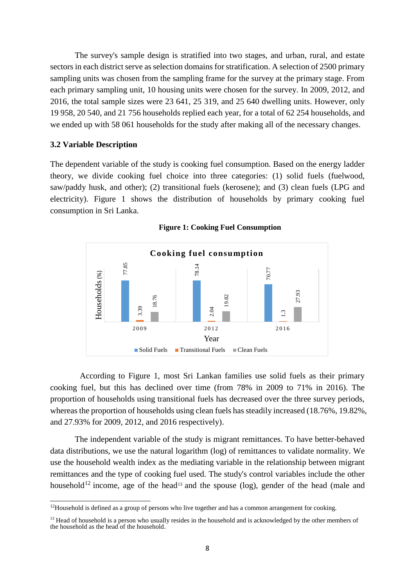The survey's sample design is stratified into two stages, and urban, rural, and estate sectors in each district serve as selection domains for stratification. A selection of 2500 primary sampling units was chosen from the sampling frame for the survey at the primary stage. From each primary sampling unit, 10 housing units were chosen for the survey. In 2009, 2012, and 2016, the total sample sizes were 23 641, 25 319, and 25 640 dwelling units. However, only 19 958, 20 540, and 21 756 households replied each year, for a total of 62 254 households, and we ended up with 58 061 households for the study after making all of the necessary changes.

### **3.2 Variable Description**

The dependent variable of the study is cooking fuel consumption. Based on the energy ladder theory, we divide cooking fuel choice into three categories: (1) solid fuels (fuelwood, saw/paddy husk, and other); (2) transitional fuels (kerosene); and (3) clean fuels (LPG and electricity). Figure 1 shows the distribution of households by primary cooking fuel consumption in Sri Lanka.



**Figure 1: Cooking Fuel Consumption**

According to Figure 1, most Sri Lankan families use solid fuels as their primary cooking fuel, but this has declined over time (from 78% in 2009 to 71% in 2016). The proportion of households using transitional fuels has decreased over the three survey periods, whereas the proportion of households using clean fuels has steadily increased (18.76%, 19.82%, and 27.93% for 2009, 2012, and 2016 respectively).

The independent variable of the study is migrant remittances. To have better-behaved data distributions, we use the natural logarithm (log) of remittances to validate normality. We use the household wealth index as the mediating variable in the relationship between migrant remittances and the type of cooking fuel used. The study's control variables include the other household<sup>12</sup> income, age of the head<sup>13</sup> and the spouse (log), gender of the head (male and

**<sup>.</sup>**  $12$ Household is defined as a group of persons who live together and has a common arrangement for cooking.

 $13$  Head of household is a person who usually resides in the household and is acknowledged by the other members of the household as the head of the household.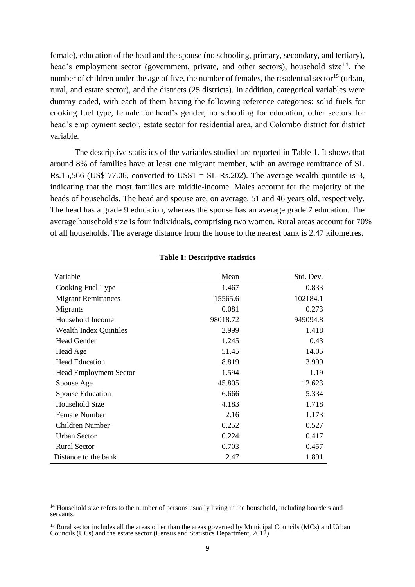female), education of the head and the spouse (no schooling, primary, secondary, and tertiary), head's employment sector (government, private, and other sectors), household size<sup>14</sup>, the number of children under the age of five, the number of females, the residential sector<sup>15</sup> (urban, rural, and estate sector), and the districts (25 districts). In addition, categorical variables were dummy coded, with each of them having the following reference categories: solid fuels for cooking fuel type, female for head's gender, no schooling for education, other sectors for head's employment sector, estate sector for residential area, and Colombo district for district variable.

The descriptive statistics of the variables studied are reported in Table 1. It shows that around 8% of families have at least one migrant member, with an average remittance of SL Rs.15,566 (US\$ 77.06, converted to US\$1 = SL Rs.202). The average wealth quintile is 3, indicating that the most families are middle-income. Males account for the majority of the heads of households. The head and spouse are, on average, 51 and 46 years old, respectively. The head has a grade 9 education, whereas the spouse has an average grade 7 education. The average household size is four individuals, comprising two women. Rural areas account for 70% of all households. The average distance from the house to the nearest bank is 2.47 kilometres.

| Variable                      | Mean     | Std. Dev. |
|-------------------------------|----------|-----------|
| Cooking Fuel Type             | 1.467    | 0.833     |
| <b>Migrant Remittances</b>    | 15565.6  | 102184.1  |
| Migrants                      | 0.081    | 0.273     |
| Household Income              | 98018.72 | 949094.8  |
| <b>Wealth Index Quintiles</b> | 2.999    | 1.418     |
| <b>Head Gender</b>            | 1.245    | 0.43      |
| Head Age                      | 51.45    | 14.05     |
| <b>Head Education</b>         | 8.819    | 3.999     |
| <b>Head Employment Sector</b> | 1.594    | 1.19      |
| Spouse Age                    | 45.805   | 12.623    |
| <b>Spouse Education</b>       | 6.666    | 5.334     |
| Household Size                | 4.183    | 1.718     |
| <b>Female Number</b>          | 2.16     | 1.173     |
| Children Number               | 0.252    | 0.527     |
| <b>Urban Sector</b>           | 0.224    | 0.417     |
| <b>Rural Sector</b>           | 0.703    | 0.457     |
| Distance to the bank          | 2.47     | 1.891     |

### **Table 1: Descriptive statistics**

**.** 

<sup>&</sup>lt;sup>14</sup> Household size refers to the number of persons usually living in the household, including boarders and servants.

<sup>&</sup>lt;sup>15</sup> Rural sector includes all the areas other than the areas governed by Municipal Councils (MCs) and Urban Councils (UCs) and the estate sector (Census and Statistics Department, 2012)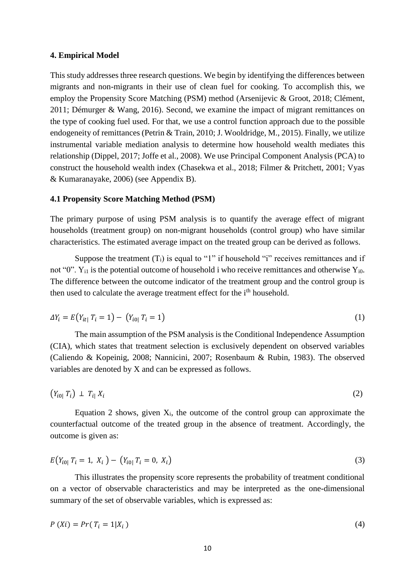#### **4. Empirical Model**

This study addresses three research questions. We begin by identifying the differences between migrants and non-migrants in their use of clean fuel for cooking. To accomplish this, we employ the Propensity Score Matching (PSM) method (Arsenijevic & Groot, 2018; Clément, 2011; Démurger & Wang, 2016). Second, we examine the impact of migrant remittances on the type of cooking fuel used. For that, we use a control function approach due to the possible endogeneity of remittances (Petrin & Train, 2010; J. Wooldridge, M., 2015). Finally, we utilize instrumental variable mediation analysis to determine how household wealth mediates this relationship (Dippel, 2017; Joffe et al., 2008). We use Principal Component Analysis (PCA) to construct the household wealth index (Chasekwa et al., 2018; Filmer & Pritchett, 2001; Vyas & Kumaranayake, 2006) (see Appendix B).

#### **4.1 Propensity Score Matching Method (PSM)**

The primary purpose of using PSM analysis is to quantify the average effect of migrant households (treatment group) on non-migrant households (control group) who have similar characteristics. The estimated average impact on the treated group can be derived as follows.

Suppose the treatment  $(T_i)$  is equal to "1" if household "i" receives remittances and if not "0".  $Y_{i1}$  is the potential outcome of household i who receive remittances and otherwise  $Y_{i0}$ . The difference between the outcome indicator of the treatment group and the control group is then used to calculate the average treatment effect for the i<sup>th</sup> household.

$$
\Delta Y_i = E(Y_{it} | T_i = 1) - (Y_{i0} | T_i = 1) \tag{1}
$$

The main assumption of the PSM analysis is the Conditional Independence Assumption (CIA), which states that treatment selection is exclusively dependent on observed variables (Caliendo & Kopeinig, 2008; Nannicini, 2007; Rosenbaum & Rubin, 1983). The observed variables are denoted by X and can be expressed as follows.

$$
(Y_{i0} | T_i) \perp T_{i|} X_i \tag{2}
$$

Equation 2 shows, given  $X_i$ , the outcome of the control group can approximate the counterfactual outcome of the treated group in the absence of treatment. Accordingly, the outcome is given as:

$$
E(Y_{i0}|T_i = 1, X_i) - (Y_{i0}|T_i = 0, X_i)
$$
\n(3)

This illustrates the propensity score represents the probability of treatment conditional on a vector of observable characteristics and may be interpreted as the one-dimensional summary of the set of observable variables, which is expressed as:

$$
P(Xi) = Pr(T_i = 1|X_i)
$$
\n<sup>(4)</sup>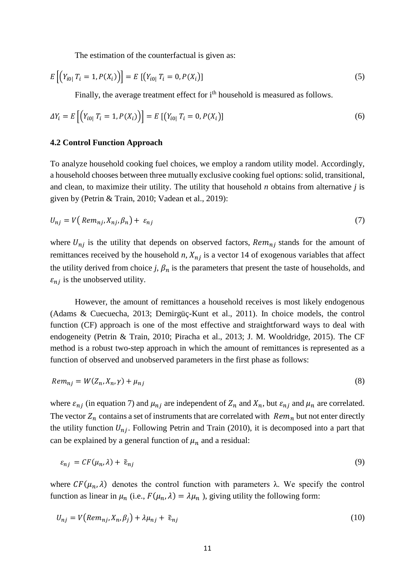The estimation of the counterfactual is given as:

$$
E\left[\left(Y_{i0}|T_i=1, P(X_i)\right)\right] = E\left[\left(Y_{i0}|T_i=0, P(X_i)\right]\right] \tag{5}
$$

Finally, the average treatment effect for i<sup>th</sup> household is measured as follows.

$$
\Delta Y_i = E\left[ \left( Y_{i0} | T_i = 1, P(X_i) \right) \right] = E\left[ \left( Y_{i0} | T_i = 0, P(X_i) \right) \right] \tag{6}
$$

#### **4.2 Control Function Approach**

To analyze household cooking fuel choices, we employ a random utility model. Accordingly, a household chooses between three mutually exclusive cooking fuel options: solid, transitional, and clean, to maximize their utility. The utility that household *n* obtains from alternative *j* is given by (Petrin & Train, 2010; Vadean et al., 2019):

$$
U_{nj} = V\big(\operatorname{Rem}_{nj}, X_{nj}, \beta_n\big) + \varepsilon_{nj} \tag{7}
$$

where  $U_{ni}$  is the utility that depends on observed factors,  $Rem_{ni}$  stands for the amount of remittances received by the household  $n$ ,  $X_{ni}$  is a vector 14 of exogenous variables that affect the utility derived from choice *j*,  $\beta_n$  is the parameters that present the taste of households, and  $\varepsilon_{ni}$  is the unobserved utility.

However, the amount of remittances a household receives is most likely endogenous (Adams & Cuecuecha, 2013; Demirgüç-Kunt et al., 2011). In choice models, the control function (CF) approach is one of the most effective and straightforward ways to deal with endogeneity (Petrin & Train, 2010; Piracha et al., 2013; J. M. Wooldridge, 2015). The CF method is a robust two-step approach in which the amount of remittances is represented as a function of observed and unobserved parameters in the first phase as follows:

$$
Rem_{nj} = W(Z_n, X_n, \gamma) + \mu_{nj} \tag{8}
$$

where  $\varepsilon_{nj}$  (in equation 7) and  $\mu_{nj}$  are independent of  $Z_n$  and  $X_n$ , but  $\varepsilon_{nj}$  and  $\mu_n$  are correlated. The vector  $Z_n$  contains a set of instruments that are correlated with  $Rem_n$  but not enter directly the utility function  $U_{nj}$ . Following Petrin and Train (2010), it is decomposed into a part that can be explained by a general function of  $\mu_n$  and a residual:

$$
\varepsilon_{nj} = CF(\mu_n, \lambda) + \tilde{\varepsilon}_{nj} \tag{9}
$$

where  $CF(\mu_n, \lambda)$  denotes the control function with parameters  $\lambda$ . We specify the control function as linear in  $\mu_n$  (i.e.,  $F(\mu_n, \lambda) = \lambda \mu_n$ ), giving utility the following form:

$$
U_{nj} = V\left(\text{Rem}_{nj}, X_n, \beta_j\right) + \lambda \mu_{nj} + \tilde{\epsilon}_{nj} \tag{10}
$$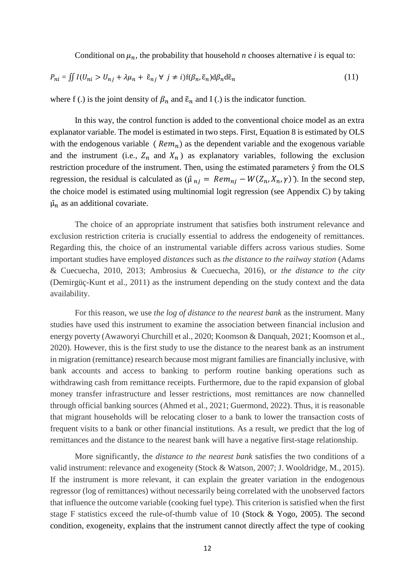Conditional on  $\mu_n$ , the probability that household *n* chooses alternative *i* is equal to:

$$
P_{ni} = \iint I(U_{ni} > U_{nj} + \lambda \mu_n + \tilde{\epsilon}_{nj} \forall j \neq i) f(\beta_n, \tilde{\epsilon}_n) d\beta_n d\tilde{\epsilon}_n
$$
\n(11)

where f (.) is the joint density of  $\beta_n$  and  $\tilde{\epsilon}_n$  and I (.) is the indicator function.

In this way, the control function is added to the conventional choice model as an extra explanator variable. The model is estimated in two steps. First, Equation 8 is estimated by OLS with the endogenous variable ( $Rem_n$ ) as the dependent variable and the exogenous variable and the instrument (i.e.,  $Z_n$  and  $X_n$ ) as explanatory variables, following the exclusion restriction procedure of the instrument. Then, using the estimated parameters ŷ from the OLS regression, the residual is calculated as  $(\hat{\mu}_{ni} = Rem_{ni} - W(Z_n, X_n, \gamma))$ . In the second step, the choice model is estimated using multinomial logit regression (see Appendix C) by taking  $\hat{\mu}_n$  as an additional covariate.

The choice of an appropriate instrument that satisfies both instrument relevance and exclusion restriction criteria is crucially essential to address the endogeneity of remittances. Regarding this, the choice of an instrumental variable differs across various studies. Some important studies have employed *distances* such as *the distance to the railway station* (Adams & Cuecuecha, 2010, 2013; Ambrosius & Cuecuecha, 2016), or *the distance to the city* (Demirgüç-Kunt et al., 2011) as the instrument depending on the study context and the data availability.

For this reason, we use *the log of distance to the nearest bank* as the instrument. Many studies have used this instrument to examine the association between financial inclusion and energy poverty (Awaworyi Churchill et al., 2020; Koomson & Danquah, 2021; Koomson et al., 2020). However, this is the first study to use the distance to the nearest bank as an instrument in migration (remittance) research because most migrant families are financially inclusive, with bank accounts and access to banking to perform routine banking operations such as withdrawing cash from remittance receipts. Furthermore, due to the rapid expansion of global money transfer infrastructure and lesser restrictions, most remittances are now channelled through official banking sources (Ahmed et al., 2021; Guermond, 2022). Thus, it is reasonable that migrant households will be relocating closer to a bank to lower the transaction costs of frequent visits to a bank or other financial institutions. As a result, we predict that the log of remittances and the distance to the nearest bank will have a negative first-stage relationship.

More significantly, the *distance to the nearest bank* satisfies the two conditions of a valid instrument: relevance and exogeneity (Stock & Watson, 2007; J. Wooldridge, M., 2015). If the instrument is more relevant, it can explain the greater variation in the endogenous regressor (log of remittances) without necessarily being correlated with the unobserved factors that influence the outcome variable (cooking fuel type). This criterion is satisfied when the first stage F statistics exceed the rule-of-thumb value of 10 (Stock & Yogo, 2005). The second condition, exogeneity, explains that the instrument cannot directly affect the type of cooking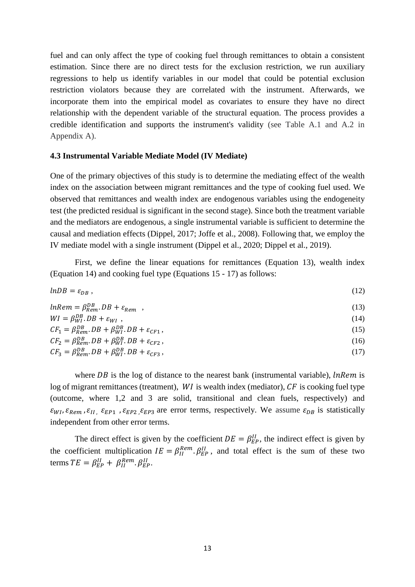fuel and can only affect the type of cooking fuel through remittances to obtain a consistent estimation. Since there are no direct tests for the exclusion restriction, we run auxiliary regressions to help us identify variables in our model that could be potential exclusion restriction violators because they are correlated with the instrument. Afterwards, we incorporate them into the empirical model as covariates to ensure they have no direct relationship with the dependent variable of the structural equation. The process provides a credible identification and supports the instrument's validity (see Table A.1 and A.2 in Appendix A).

#### **4.3 Instrumental Variable Mediate Model (IV Mediate)**

One of the primary objectives of this study is to determine the mediating effect of the wealth index on the association between migrant remittances and the type of cooking fuel used. We observed that remittances and wealth index are endogenous variables using the endogeneity test (the predicted residual is significant in the second stage). Since both the treatment variable and the mediators are endogenous, a single instrumental variable is sufficient to determine the causal and mediation effects (Dippel, 2017; Joffe et al., 2008). Following that, we employ the IV mediate model with a single instrument (Dippel et al., 2020; Dippel et al., 2019).

First, we define the linear equations for remittances (Equation 13), wealth index (Equation 14) and cooking fuel type (Equations 15 - 17) as follows:

$$
lnDB = \varepsilon_{DB} \tag{12}
$$

$$
lnRem = \beta_{Rem}^{DB} .DB + \varepsilon_{Rem} ,
$$
  
\n
$$
WI = \beta_{WT}^{DB} .DB + \varepsilon_{WI} ,
$$
  
\n
$$
CF_1 = \beta_{Rem}^{DB} .DB + \beta_{WT}^{DB} .DB + \varepsilon_{CFA} ,
$$
  
\n(15)

$$
CF_2 = \beta_{Rem}^{DB} \cdot DB + \beta_{WI}^{DB} \cdot DB + \varepsilon_{CF2} \,,\tag{16}
$$

$$
CF_3 = \beta_{Rem}^{DB} \cdot DB + \beta_{WI}^{DB} \cdot DB + \varepsilon_{CF3} \,,\tag{17}
$$

where  $DB$  is the log of distance to the nearest bank (instrumental variable),  $\ell n$  is log of migrant remittances (treatment),  $WI$  is wealth index (mediator),  $CF$  is cooking fuel type (outcome, where 1,2 and 3 are solid, transitional and clean fuels, respectively) and  $\varepsilon_{WI}$ ,  $\varepsilon_{Rem}$ ,  $\varepsilon_{II}$ ,  $\varepsilon_{EP1}$ ,  $\varepsilon_{EP2}$ ,  $\varepsilon_{EP3}$  are error terms, respectively. We assume  $\varepsilon_{DB}$  is statistically independent from other error terms.

The direct effect is given by the coefficient  $DE = \beta_{EP}^{II}$ , the indirect effect is given by the coefficient multiplication  $IE = \beta_{II}^{Rem} \cdot \beta_{EP}^{Il}$ , and total effect is the sum of these two terms  $TE = \beta_{EP}^{II} + \beta_{II}^{Rem} \beta_{EP}^{Il}$ .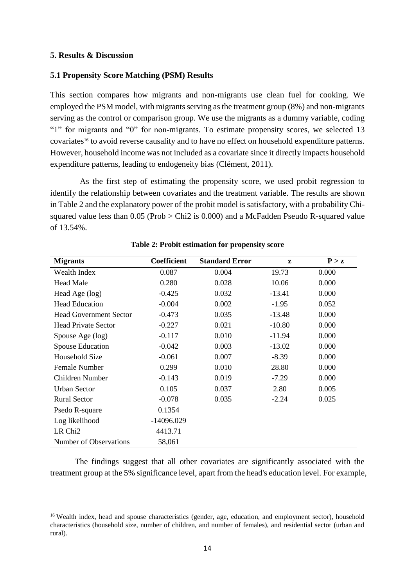#### **5. Results & Discussion**

 $\overline{\phantom{a}}$ 

# **5.1 Propensity Score Matching (PSM) Results**

This section compares how migrants and non-migrants use clean fuel for cooking. We employed the PSM model, with migrants serving as the treatment group (8%) and non-migrants serving as the control or comparison group. We use the migrants as a dummy variable, coding "1" for migrants and "0" for non-migrants. To estimate propensity scores, we selected 13 covariates<sup>16</sup> to avoid reverse causality and to have no effect on household expenditure patterns. However, household income was not included as a covariate since it directly impacts household expenditure patterns, leading to endogeneity bias (Clément, 2011).

As the first step of estimating the propensity score, we used probit regression to identify the relationship between covariates and the treatment variable. The results are shown in Table 2 and the explanatory power of the probit model is satisfactory, with a probability Chisquared value less than 0.05 (Prob > Chi2 is 0.000) and a McFadden Pseudo R-squared value of 13.54%.

| <b>Migrants</b>               | <b>Coefficient</b> | <b>Standard Error</b> | Z        | P > z |
|-------------------------------|--------------------|-----------------------|----------|-------|
| Wealth Index                  | 0.087              | 0.004                 | 19.73    | 0.000 |
| <b>Head Male</b>              | 0.280              | 0.028                 | 10.06    | 0.000 |
| Head Age (log)                | $-0.425$           | 0.032                 | $-13.41$ | 0.000 |
| <b>Head Education</b>         | $-0.004$           | 0.002                 | $-1.95$  | 0.052 |
| <b>Head Government Sector</b> | $-0.473$           | 0.035                 | $-13.48$ | 0.000 |
| <b>Head Private Sector</b>    | $-0.227$           | 0.021                 | $-10.80$ | 0.000 |
| Spouse Age (log)              | $-0.117$           | 0.010                 | $-11.94$ | 0.000 |
| <b>Spouse Education</b>       | $-0.042$           | 0.003                 | $-13.02$ | 0.000 |
| Household Size                | $-0.061$           | 0.007                 | $-8.39$  | 0.000 |
| <b>Female Number</b>          | 0.299              | 0.010                 | 28.80    | 0.000 |
| Children Number               | $-0.143$           | 0.019                 | $-7.29$  | 0.000 |
| <b>Urban Sector</b>           | 0.105              | 0.037                 | 2.80     | 0.005 |
| <b>Rural Sector</b>           | $-0.078$           | 0.035                 | $-2.24$  | 0.025 |
| Psedo R-square                | 0.1354             |                       |          |       |
| Log likelihood                | -14096.029         |                       |          |       |
| LR Chi <sub>2</sub>           | 4413.71            |                       |          |       |
| Number of Observations        | 58,061             |                       |          |       |

#### **Table 2: Probit estimation for propensity score**

The findings suggest that all other covariates are significantly associated with the treatment group at the 5% significance level, apart from the head's education level. For example,

<sup>&</sup>lt;sup>16</sup> Wealth index, head and spouse characteristics (gender, age, education, and employment sector), household characteristics (household size, number of children, and number of females), and residential sector (urban and rural).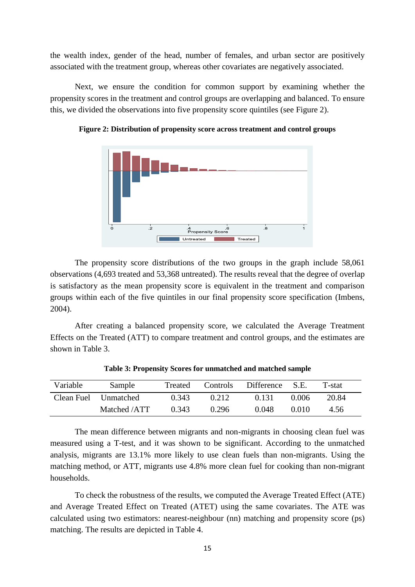the wealth index, gender of the head, number of females, and urban sector are positively associated with the treatment group, whereas other covariates are negatively associated.

Next, we ensure the condition for common support by examining whether the propensity scores in the treatment and control groups are overlapping and balanced. To ensure this, we divided the observations into five propensity score quintiles (see Figure 2).



**Figure 2: Distribution of propensity score across treatment and control groups**

The propensity score distributions of the two groups in the graph include 58,061 observations (4,693 treated and 53,368 untreated). The results reveal that the degree of overlap is satisfactory as the mean propensity score is equivalent in the treatment and comparison groups within each of the five quintiles in our final propensity score specification (Imbens, 2004).

After creating a balanced propensity score, we calculated the Average Treatment Effects on the Treated (ATT) to compare treatment and control groups, and the estimates are shown in Table 3.

| Variable   | Sample       | Treated | Controls | Difference S.E. |       | T-stat |
|------------|--------------|---------|----------|-----------------|-------|--------|
| Clean Fuel | Unmatched    | 0.343   | 0.212    | 0.131           | 0.006 | 20.84  |
|            | Matched /ATT | 0.343   | 0.296    | 0.048           | 0.010 | 4.56   |

**Table 3: Propensity Scores for unmatched and matched sample**

The mean difference between migrants and non-migrants in choosing clean fuel was measured using a T-test, and it was shown to be significant. According to the unmatched analysis, migrants are 13.1% more likely to use clean fuels than non-migrants. Using the matching method, or ATT, migrants use 4.8% more clean fuel for cooking than non-migrant households.

To check the robustness of the results, we computed the Average Treated Effect (ATE) and Average Treated Effect on Treated (ATET) using the same covariates. The ATE was calculated using two estimators: nearest-neighbour (nn) matching and propensity score (ps) matching. The results are depicted in Table 4.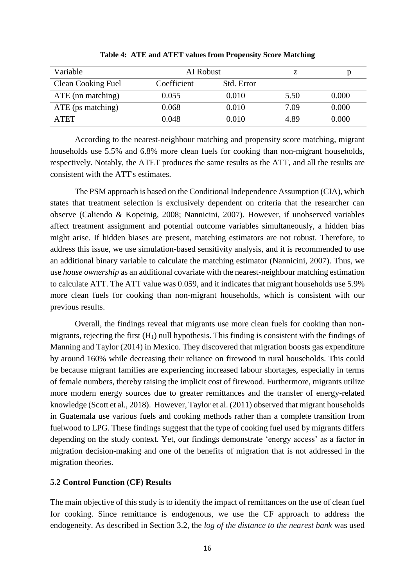| Variable           |             | AI Robust  |      |       |
|--------------------|-------------|------------|------|-------|
| Clean Cooking Fuel | Coefficient | Std. Error |      |       |
| ATE (nn matching)  | 0.055       | 0.010      | 5.50 | 0.000 |
| ATE (ps matching)  | 0.068       | 0.010      | 7.09 | 0.000 |
| ATET               | 0.048       | 0.010      | 4.89 | 0.000 |

**Table 4: ATE and ATET values from Propensity Score Matching**

According to the nearest-neighbour matching and propensity score matching, migrant households use 5.5% and 6.8% more clean fuels for cooking than non-migrant households, respectively. Notably, the ATET produces the same results as the ATT, and all the results are consistent with the ATT's estimates.

The PSM approach is based on the Conditional Independence Assumption (CIA), which states that treatment selection is exclusively dependent on criteria that the researcher can observe (Caliendo & Kopeinig, 2008; Nannicini, 2007). However, if unobserved variables affect treatment assignment and potential outcome variables simultaneously, a hidden bias might arise. If hidden biases are present, matching estimators are not robust. Therefore, to address this issue, we use simulation-based sensitivity analysis, and it is recommended to use an additional binary variable to calculate the matching estimator (Nannicini, 2007). Thus, we use *house ownership* as an additional covariate with the nearest-neighbour matching estimation to calculate ATT. The ATT value was 0.059, and it indicates that migrant households use 5.9% more clean fuels for cooking than non-migrant households, which is consistent with our previous results.

Overall, the findings reveal that migrants use more clean fuels for cooking than nonmigrants, rejecting the first  $(H_1)$  null hypothesis. This finding is consistent with the findings of Manning and Taylor (2014) in Mexico. They discovered that migration boosts gas expenditure by around 160% while decreasing their reliance on firewood in rural households. This could be because migrant families are experiencing increased labour shortages, especially in terms of female numbers, thereby raising the implicit cost of firewood. Furthermore, migrants utilize more modern energy sources due to greater remittances and the transfer of energy-related knowledge (Scott et al., 2018). However, Taylor et al. (2011) observed that migrant households in Guatemala use various fuels and cooking methods rather than a complete transition from fuelwood to LPG. These findings suggest that the type of cooking fuel used by migrants differs depending on the study context. Yet, our findings demonstrate 'energy access' as a factor in migration decision-making and one of the benefits of migration that is not addressed in the migration theories.

# **5.2 Control Function (CF) Results**

The main objective of this study is to identify the impact of remittances on the use of clean fuel for cooking. Since remittance is endogenous, we use the CF approach to address the endogeneity. As described in Section 3.2, the *log of the distance to the nearest bank* was used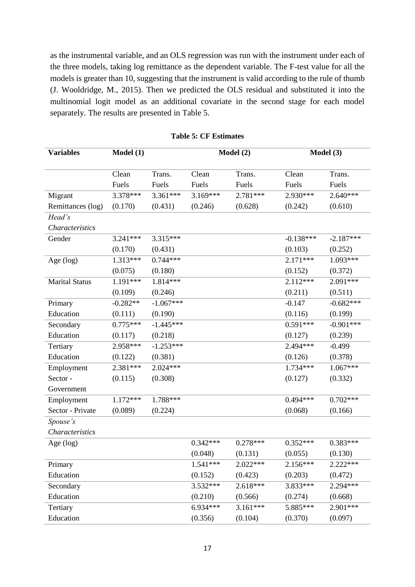as the instrumental variable, and an OLS regression was run with the instrument under each of the three models, taking log remittance as the dependent variable. The F-test value for all the models is greater than 10, suggesting that the instrument is valid according to the rule of thumb (J. Wooldridge, M., 2015). Then we predicted the OLS residual and substituted it into the multinomial logit model as an additional covariate in the second stage for each model separately. The results are presented in Table 5.

| <b>Variables</b>      | Model(1)   |             | Model (2)  |            | Model (3)   |             |
|-----------------------|------------|-------------|------------|------------|-------------|-------------|
|                       |            |             |            |            |             |             |
|                       | Clean      | Trans.      | Clean      | Trans.     | Clean       | Trans.      |
|                       | Fuels      | Fuels       | Fuels      | Fuels      | Fuels       | Fuels       |
| Migrant               | 3.378***   | 3.361***    | 3.169***   | 2.781***   | 2.930***    | $2.640***$  |
| Remittances (log)     | (0.170)    | (0.431)     | (0.246)    | (0.628)    | (0.242)     | (0.610)     |
| Head's                |            |             |            |            |             |             |
| Characteristics       |            |             |            |            |             |             |
| Gender                | $3.241***$ | 3.315***    |            |            | $-0.138***$ | $-2.187***$ |
|                       | (0.170)    | (0.431)     |            |            | (0.103)     | (0.252)     |
| Age (log)             | 1.313***   | $0.744***$  |            |            | $2.171***$  | 1.093***    |
|                       | (0.075)    | (0.180)     |            |            | (0.152)     | (0.372)     |
| <b>Marital Status</b> | 1.191***   | 1.814***    |            |            | $2.112***$  | 2.091***    |
|                       | (0.109)    | (0.246)     |            |            | (0.211)     | (0.511)     |
| Primary               | $-0.282**$ | $-1.067***$ |            |            | $-0.147$    | $-0.682***$ |
| Education             | (0.111)    | (0.190)     |            |            | (0.116)     | (0.199)     |
| Secondary             | $0.775***$ | $-1.445***$ |            |            | $0.591***$  | $-0.901***$ |
| Education             | (0.117)    | (0.218)     |            |            | (0.127)     | (0.239)     |
| Tertiary              | 2.958***   | $-1.253***$ |            |            | 2.494***    | $-0.499$    |
| Education             | (0.122)    | (0.381)     |            |            | (0.126)     | (0.378)     |
| Employment            | 2.381***   | $2.024***$  |            |            | 1.734***    | $1.067***$  |
| Sector-               | (0.115)    | (0.308)     |            |            | (0.127)     | (0.332)     |
| Government            |            |             |            |            |             |             |
| Employment            | $1.172***$ | 1.788***    |            |            | $0.494***$  | $0.702***$  |
| Sector - Private      | (0.089)    | (0.224)     |            |            | (0.068)     | (0.166)     |
| Spouse's              |            |             |            |            |             |             |
| Characteristics       |            |             |            |            |             |             |
| Age $(log)$           |            |             | $0.342***$ | $0.278***$ | $0.352***$  | $0.383***$  |
|                       |            |             | (0.048)    | (0.131)    | (0.055)     | (0.130)     |
| Primary               |            |             | 1.541***   | 2.022***   | 2.156***    | 2.222***    |
| Education             |            |             | (0.152)    | (0.423)    | (0.203)     | (0.472)     |
| Secondary             |            |             | $3.532***$ | $2.618***$ | 3.833***    | 2.294***    |
| Education             |            |             | (0.210)    | (0.566)    | (0.274)     | (0.668)     |
| Tertiary              |            |             | 6.934***   | $3.161***$ | 5.885***    | 2.901***    |
| Education             |            |             | (0.356)    | (0.104)    | (0.370)     | (0.097)     |

**Table 5: CF Estimates**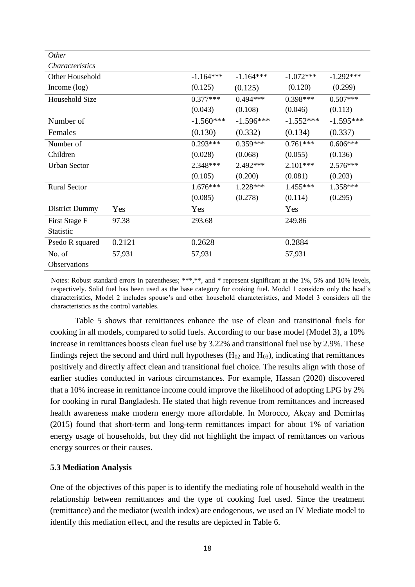| <i>Other</i>           |        |             |             |             |             |
|------------------------|--------|-------------|-------------|-------------|-------------|
| <i>Characteristics</i> |        |             |             |             |             |
| Other Household        |        | $-1.164***$ | $-1.164***$ | $-1.072***$ | $-1.292***$ |
| Income $(\log)$        |        | (0.125)     | (0.125)     | (0.120)     | (0.299)     |
| Household Size         |        | $0.377***$  | $0.494***$  | $0.398***$  | $0.507***$  |
|                        |        | (0.043)     | (0.108)     | (0.046)     | (0.113)     |
| Number of              |        | $-1.560***$ | $-1.596***$ | $-1.552***$ | $-1.595***$ |
| Females                |        | (0.130)     | (0.332)     | (0.134)     | (0.337)     |
| Number of              |        | $0.293***$  | $0.359***$  | $0.761***$  | $0.606***$  |
| Children               |        | (0.028)     | (0.068)     | (0.055)     | (0.136)     |
| <b>Urban Sector</b>    |        | 2.348***    | 2.492***    | $2.101***$  | $2.576***$  |
|                        |        | (0.105)     | (0.200)     | (0.081)     | (0.203)     |
| <b>Rural Sector</b>    |        | $1.676***$  | $1.228***$  | $1.455***$  | 1.358***    |
|                        |        | (0.085)     | (0.278)     | (0.114)     | (0.295)     |
| <b>District Dummy</b>  | Yes    | Yes         |             | Yes         |             |
| First Stage F          | 97.38  | 293.68      |             | 249.86      |             |
| Statistic              |        |             |             |             |             |
| Psedo R squared        | 0.2121 | 0.2628      |             | 0.2884      |             |
| No. of                 | 57,931 | 57,931      |             | 57,931      |             |
| Observations           |        |             |             |             |             |

Notes: Robust standard errors in parentheses; \*\*\*,\*\*, and \* represent significant at the 1%, 5% and 10% levels, respectively. Solid fuel has been used as the base category for cooking fuel. Model 1 considers only the head's characteristics, Model 2 includes spouse's and other household characteristics, and Model 3 considers all the characteristics as the control variables.

Table 5 shows that remittances enhance the use of clean and transitional fuels for cooking in all models, compared to solid fuels. According to our base model (Model 3), a 10% increase in remittances boosts clean fuel use by 3.22% and transitional fuel use by 2.9%. These findings reject the second and third null hypotheses  $(H_{02}$  and  $H_{03})$ , indicating that remittances positively and directly affect clean and transitional fuel choice. The results align with those of earlier studies conducted in various circumstances. For example, Hassan (2020) discovered that a 10% increase in remittance income could improve the likelihood of adopting LPG by 2% for cooking in rural Bangladesh. He stated that high revenue from remittances and increased health awareness make modern energy more affordable. In Morocco, Akçay and Demirtaş (2015) found that short-term and long-term remittances impact for about 1% of variation energy usage of households, but they did not highlight the impact of remittances on various energy sources or their causes.

# **5.3 Mediation Analysis**

One of the objectives of this paper is to identify the mediating role of household wealth in the relationship between remittances and the type of cooking fuel used. Since the treatment (remittance) and the mediator (wealth index) are endogenous, we used an IV Mediate model to identify this mediation effect, and the results are depicted in Table 6.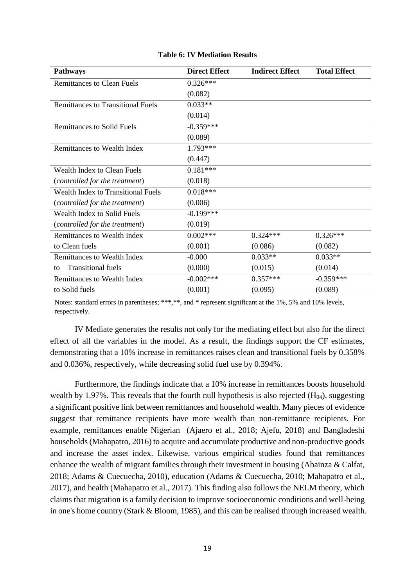| <b>Pathways</b>                           | <b>Direct Effect</b> | <b>Indirect Effect</b> | <b>Total Effect</b> |
|-------------------------------------------|----------------------|------------------------|---------------------|
| <b>Remittances to Clean Fuels</b>         | $0.326***$           |                        |                     |
|                                           | (0.082)              |                        |                     |
| <b>Remittances to Transitional Fuels</b>  | $0.033**$            |                        |                     |
|                                           | (0.014)              |                        |                     |
| <b>Remittances to Solid Fuels</b>         | $-0.359***$          |                        |                     |
|                                           | (0.089)              |                        |                     |
| <b>Remittances to Wealth Index</b>        | 1.793***             |                        |                     |
|                                           | (0.447)              |                        |                     |
| Wealth Index to Clean Fuels               | $0.181***$           |                        |                     |
| (controlled for the treatment)            | (0.018)              |                        |                     |
| <b>Wealth Index to Transitional Fuels</b> | $0.018***$           |                        |                     |
| (controlled for the treatment)            | (0.006)              |                        |                     |
| Wealth Index to Solid Fuels               | $-0.199***$          |                        |                     |
| (controlled for the treatment)            | (0.019)              |                        |                     |
| <b>Remittances to Wealth Index</b>        | $0.002***$           | $0.324***$             | $0.326***$          |
| to Clean fuels                            | (0.001)              | (0.086)                | (0.082)             |
| <b>Remittances to Wealth Index</b>        | $-0.000$             | $0.033**$              | $0.033**$           |
| <b>Transitional fuels</b><br>to           | (0.000)              | (0.015)                | (0.014)             |
| Remittances to Wealth Index               | $-0.002***$          | $0.357***$             | $-0.359***$         |
| to Solid fuels                            | (0.001)              | (0.095)                | (0.089)             |

#### **Table 6: IV Mediation Results**

Notes: standard errors in parentheses; \*\*\*,\*\*, and \* represent significant at the 1%, 5% and 10% levels, respectively.

IV Mediate generates the results not only for the mediating effect but also for the direct effect of all the variables in the model. As a result, the findings support the CF estimates, demonstrating that a 10% increase in remittances raises clean and transitional fuels by 0.358% and 0.036%, respectively, while decreasing solid fuel use by 0.394%.

Furthermore, the findings indicate that a 10% increase in remittances boosts household wealth by 1.97%. This reveals that the fourth null hypothesis is also rejected  $(H<sub>04</sub>)$ , suggesting a significant positive link between remittances and household wealth. Many pieces of evidence suggest that remittance recipients have more wealth than non-remittance recipients. For example, remittances enable Nigerian (Ajaero et al., 2018; Ajefu, 2018) and Bangladeshi households (Mahapatro, 2016) to acquire and accumulate productive and non-productive goods and increase the asset index. Likewise, various empirical studies found that remittances enhance the wealth of migrant families through their investment in housing (Abainza & Calfat, 2018; Adams & Cuecuecha, 2010), education (Adams & Cuecuecha, 2010; Mahapatro et al., 2017), and health (Mahapatro et al., 2017). This finding also follows the NELM theory, which claims that migration is a family decision to improve socioeconomic conditions and well-being in one's home country (Stark & Bloom, 1985), and this can be realised through increased wealth.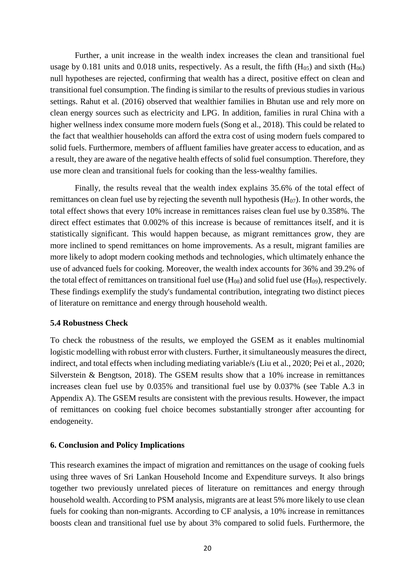Further, a unit increase in the wealth index increases the clean and transitional fuel usage by 0.181 units and 0.018 units, respectively. As a result, the fifth  $(H_{05})$  and sixth  $(H_{06})$ null hypotheses are rejected, confirming that wealth has a direct, positive effect on clean and transitional fuel consumption. The finding is similar to the results of previous studies in various settings. Rahut et al. (2016) observed that wealthier families in Bhutan use and rely more on clean energy sources such as electricity and LPG. In addition, families in rural China with a higher wellness index consume more modern fuels (Song et al., 2018). This could be related to the fact that wealthier households can afford the extra cost of using modern fuels compared to solid fuels. Furthermore, members of affluent families have greater access to education, and as a result, they are aware of the negative health effects of solid fuel consumption. Therefore, they use more clean and transitional fuels for cooking than the less-wealthy families.

Finally, the results reveal that the wealth index explains 35.6% of the total effect of remittances on clean fuel use by rejecting the seventh null hypothesis  $(H_{07})$ . In other words, the total effect shows that every 10% increase in remittances raises clean fuel use by 0.358%. The direct effect estimates that 0.002% of this increase is because of remittances itself, and it is statistically significant. This would happen because, as migrant remittances grow, they are more inclined to spend remittances on home improvements. As a result, migrant families are more likely to adopt modern cooking methods and technologies, which ultimately enhance the use of advanced fuels for cooking. Moreover, the wealth index accounts for 36% and 39.2% of the total effect of remittances on transitional fuel use  $(H_{08})$  and solid fuel use  $(H_{09})$ , respectively. These findings exemplify the study's fundamental contribution, integrating two distinct pieces of literature on remittance and energy through household wealth.

#### **5.4 Robustness Check**

To check the robustness of the results, we employed the GSEM as it enables multinomial logistic modelling with robust error with clusters. Further, it simultaneously measures the direct, indirect, and total effects when including mediating variable/s (Liu et al., 2020; Pei et al., 2020; Silverstein & Bengtson, 2018). The GSEM results show that a 10% increase in remittances increases clean fuel use by 0.035% and transitional fuel use by 0.037% (see Table A.3 in Appendix A). The GSEM results are consistent with the previous results. However, the impact of remittances on cooking fuel choice becomes substantially stronger after accounting for endogeneity.

#### **6. Conclusion and Policy Implications**

This research examines the impact of migration and remittances on the usage of cooking fuels using three waves of Sri Lankan Household Income and Expenditure surveys. It also brings together two previously unrelated pieces of literature on remittances and energy through household wealth. According to PSM analysis, migrants are at least 5% more likely to use clean fuels for cooking than non-migrants. According to CF analysis, a 10% increase in remittances boosts clean and transitional fuel use by about 3% compared to solid fuels. Furthermore, the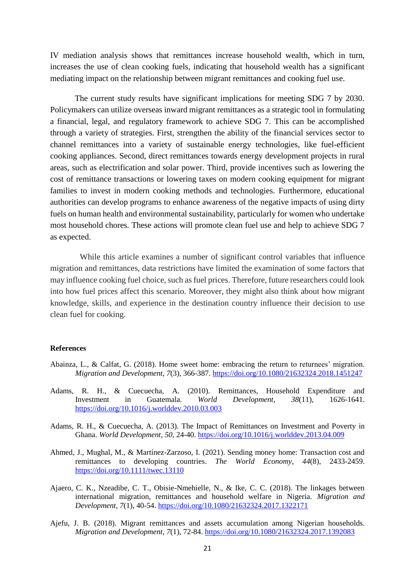IV mediation analysis shows that remittances increase household wealth, which in turn, increases the use of clean cooking fuels, indicating that household wealth has a significant mediating impact on the relationship between migrant remittances and cooking fuel use.

The current study results have significant implications for meeting SDG 7 by 2030. Policymakers can utilize overseas inward migrant remittances as a strategic tool in formulating a financial, legal, and regulatory framework to achieve SDG 7. This can be accomplished through a variety of strategies. First, strengthen the ability of the financial services sector to channel remittances into a variety of sustainable energy technologies, like fuel-efficient cooking appliances. Second, direct remittances towards energy development projects in rural areas, such as electrification and solar power. Third, provide incentives such as lowering the cost of remittance transactions or lowering taxes on modern cooking equipment for migrant families to invest in modern cooking methods and technologies. Furthermore, educational authorities can develop programs to enhance awareness of the negative impacts of using dirty fuels on human health and environmental sustainability, particularly for women who undertake most household chores. These actions will promote clean fuel use and help to achieve SDG 7 as expected.

While this article examines a number of significant control variables that influence migration and remittances, data restrictions have limited the examination of some factors that may influence cooking fuel choice, such as fuel prices. Therefore, future researchers could look into how fuel prices affect this scenario. Moreover, they might also think about how migrant knowledge, skills, and experience in the destination country influence their decision to use clean fuel for cooking.

#### **References**

- Abainza, L., & Calfat, G. (2018). Home sweet home: embracing the return to returnees' migration. *Migration and Development*, *7*(3), 366-387[. https://doi.org/10.1080/21632324.2018.1451247](https://doi.org/10.1080/21632324.2018.1451247)
- Adams, R. H., & Cuecuecha, A. (2010). Remittances, Household Expenditure and Investment in Guatemala. *World Development*, *38*(11), 1626-1641. <https://doi.org/10.1016/j.worlddev.2010.03.003>
- Adams, R. H., & Cuecuecha, A. (2013). The Impact of Remittances on Investment and Poverty in Ghana. *World Development*, *50*, 24-40[. https://doi.org/10.1016/j.worlddev.2013.04.009](https://doi.org/10.1016/j.worlddev.2013.04.009)
- Ahmed, J., Mughal, M., & Martínez-Zarzoso, I. (2021). Sending money home: Transaction cost and remittances to developing countries. *The World Economy*, *44*(8), 2433-2459. <https://doi.org/10.1111/twec.13110>
- Ajaero, C. K., Nzeadibe, C. T., Obisie-Nmehielle, N., & Ike, C. C. (2018). The linkages between international migration, remittances and household welfare in Nigeria. *Migration and Development*, *7*(1), 40-54[. https://doi.org/10.1080/21632324.2017.1322171](https://doi.org/10.1080/21632324.2017.1322171)
- Ajefu, J. B. (2018). Migrant remittances and assets accumulation among Nigerian households. *Migration and Development*, *7*(1), 72-84[. https://doi.org/10.1080/21632324.2017.1392083](https://doi.org/10.1080/21632324.2017.1392083)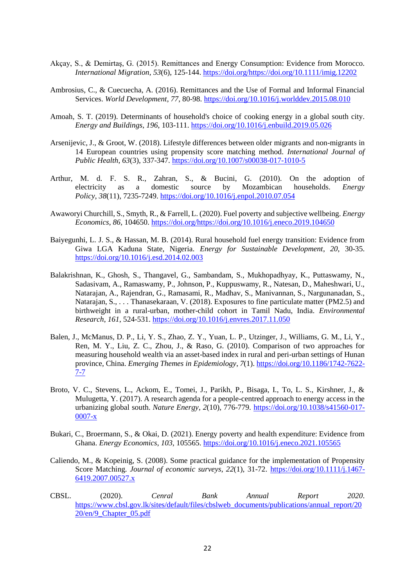- Akçay, S., & Demirtaş, G. (2015). Remittances and Energy Consumption: Evidence from Morocco. *International Migration*, *53*(6), 125-144[. https://doi.org/https://doi.org/10.1111/imig.12202](https://doi.org/https:/doi.org/10.1111/imig.12202)
- Ambrosius, C., & Cuecuecha, A. (2016). Remittances and the Use of Formal and Informal Financial Services. *World Development*, *77*, 80-98.<https://doi.org/10.1016/j.worlddev.2015.08.010>
- Amoah, S. T. (2019). Determinants of household's choice of cooking energy in a global south city. *Energy and Buildings*, *196*, 103-111[. https://doi.org/10.1016/j.enbuild.2019.05.026](https://doi.org/10.1016/j.enbuild.2019.05.026)
- Arsenijevic, J., & Groot, W. (2018). Lifestyle differences between older migrants and non-migrants in 14 European countries using propensity score matching method. *International Journal of Public Health*, *63*(3), 337-347[. https://doi.org/10.1007/s00038-017-1010-5](https://doi.org/10.1007/s00038-017-1010-5)
- Arthur, M. d. F. S. R., Zahran, S., & Bucini, G. (2010). On the adoption of electricity as a domestic source by Mozambican households. *Energy Policy*, *38*(11), 7235-7249[. https://doi.org/10.1016/j.enpol.2010.07.054](https://doi.org/10.1016/j.enpol.2010.07.054)
- Awaworyi Churchill, S., Smyth, R., & Farrell, L. (2020). Fuel poverty and subjective wellbeing. *Energy Economics*, *86*, 104650. [https://doi.org/https://doi.org/10.1016/j.eneco.2019.104650](https://doi.org/https:/doi.org/10.1016/j.eneco.2019.104650)
- Baiyegunhi, L. J. S., & Hassan, M. B. (2014). Rural household fuel energy transition: Evidence from Giwa LGA Kaduna State, Nigeria. *Energy for Sustainable Development*, *20*, 30-35. <https://doi.org/10.1016/j.esd.2014.02.003>
- Balakrishnan, K., Ghosh, S., Thangavel, G., Sambandam, S., Mukhopadhyay, K., Puttaswamy, N., Sadasivam, A., Ramaswamy, P., Johnson, P., Kuppuswamy, R., Natesan, D., Maheshwari, U., Natarajan, A., Rajendran, G., Ramasami, R., Madhav, S., Manivannan, S., Nargunanadan, S., Natarajan, S., . . . Thanasekaraan, V. (2018). Exposures to fine particulate matter (PM2.5) and birthweight in a rural-urban, mother-child cohort in Tamil Nadu, India. *Environmental Research*, *161*, 524-531[. https://doi.org/10.1016/j.envres.2017.11.050](https://doi.org/10.1016/j.envres.2017.11.050)
- Balen, J., McManus, D. P., Li, Y. S., Zhao, Z. Y., Yuan, L. P., Utzinger, J., Williams, G. M., Li, Y., Ren, M. Y., Liu, Z. C., Zhou, J., & Raso, G. (2010). Comparison of two approaches for measuring household wealth via an asset-based index in rural and peri-urban settings of Hunan province, China. *Emerging Themes in Epidemiology*, *7*(1). [https://doi.org/10.1186/1742-7622-](https://doi.org/10.1186/1742-7622-7-7) [7-7](https://doi.org/10.1186/1742-7622-7-7)
- Broto, V. C., Stevens, L., Ackom, E., Tomei, J., Parikh, P., Bisaga, I., To, L. S., Kirshner, J., & Mulugetta, Y. (2017). A research agenda for a people-centred approach to energy access in the urbanizing global south. *Nature Energy*, *2*(10), 776-779. [https://doi.org/10.1038/s41560-017-](https://doi.org/10.1038/s41560-017-0007-x) [0007-x](https://doi.org/10.1038/s41560-017-0007-x)
- Bukari, C., Broermann, S., & Okai, D. (2021). Energy poverty and health expenditure: Evidence from Ghana. *Energy Economics*, *103*, 105565[. https://doi.org/10.1016/j.eneco.2021.105565](https://doi.org/10.1016/j.eneco.2021.105565)
- Caliendo, M., & Kopeinig, S. (2008). Some practical guidance for the implementation of Propensity Score Matching. *Journal of economic surveys*, *22*(1), 31-72. [https://doi.org/10.1111/j.1467-](https://doi.org/10.1111/j.1467-6419.2007.00527.x) [6419.2007.00527.x](https://doi.org/10.1111/j.1467-6419.2007.00527.x)
- CBSL. (2020). *Cenral Bank Annual Report 2020*. [https://www.cbsl.gov.lk/sites/default/files/cbslweb\\_documents/publications/annual\\_report/20](https://www.cbsl.gov.lk/sites/default/files/cbslweb_documents/publications/annual_report/2020/en/9_Chapter_05.pdf) [20/en/9\\_Chapter\\_05.pdf](https://www.cbsl.gov.lk/sites/default/files/cbslweb_documents/publications/annual_report/2020/en/9_Chapter_05.pdf)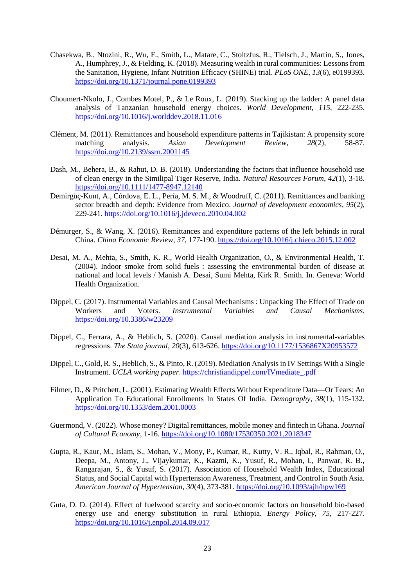- Chasekwa, B., Ntozini, R., Wu, F., Smith, L., Matare, C., Stoltzfus, R., Tielsch, J., Martin, S., Jones, A., Humphrey, J., & Fielding, K. (2018). Measuring wealth in rural communities: Lessons from the Sanitation, Hygiene, Infant Nutrition Efficacy (SHINE) trial. *PLoS ONE*, *13*(6), e0199393. <https://doi.org/10.1371/journal.pone.0199393>
- Choumert-Nkolo, J., Combes Motel, P., & Le Roux, L. (2019). Stacking up the ladder: A panel data analysis of Tanzanian household energy choices. *World Development*, *115*, 222-235. <https://doi.org/10.1016/j.worlddev.2018.11.016>
- Clément, M. (2011). Remittances and household expenditure patterns in Tajikistan: A propensity score matching analysis. *Asian Development Review*, *28*(2), 58-87. <https://doi.org/10.2139/ssrn.2001145>
- Dash, M., Behera, B., & Rahut, D. B. (2018). Understanding the factors that influence household use of clean energy in the Similipal Tiger Reserve, India. *Natural Resources Forum*, *42*(1), 3-18. <https://doi.org/10.1111/1477-8947.12140>
- Demirgüç-Kunt, A., Córdova, E. L., Pería, M. S. M., & Woodruff, C. (2011). Remittances and banking sector breadth and depth: Evidence from Mexico. *Journal of development economics*, *95*(2), 229-241.<https://doi.org/10.1016/j.jdeveco.2010.04.002>
- Démurger, S., & Wang, X. (2016). Remittances and expenditure patterns of the left behinds in rural China. *China Economic Review*, *37*, 177-190[. https://doi.org/10.1016/j.chieco.2015.12.002](https://doi.org/10.1016/j.chieco.2015.12.002)
- Desai, M. A., Mehta, S., Smith, K. R., World Health Organization, O., & Environmental Health, T. (2004). Indoor smoke from solid fuels : assessing the environmental burden of disease at national and local levels / Manish A. Desai, Sumi Mehta, Kirk R. Smith. In. Geneva: World Health Organization.
- Dippel, C. (2017). Instrumental Variables and Causal Mechanisms : Unpacking The Effect of Trade on Workers and Voters. *Instrumental Variables and Causal Mechanisms*. <https://doi.org/10.3386/w23209>
- Dippel, C., Ferrara, A., & Heblich, S. (2020). Causal mediation analysis in instrumental-variables regressions. *The Stata journal*, *20*(3), 613-626[. https://doi.org/10.1177/1536867X20953572](https://doi.org/10.1177/1536867X20953572)
- Dippel, C., Gold, R. S., Heblich, S., & Pinto, R. (2019). Mediation Analysis in IV Settings With a Single Instrument. *UCLA working paper*. [https://christiandippel.com/IVmediate\\_.pdf](https://christiandippel.com/IVmediate_.pdf)
- Filmer, D., & Pritchett, L. (2001). Estimating Wealth Effects Without Expenditure Data—Or Tears: An Application To Educational Enrollments In States Of India. *Demography*, *38*(1), 115-132. <https://doi.org/10.1353/dem.2001.0003>
- Guermond, V. (2022). Whose money? Digital remittances, mobile money and fintech in Ghana. *Journal of Cultural Economy*, 1-16[. https://doi.org/10.1080/17530350.2021.2018347](https://doi.org/10.1080/17530350.2021.2018347)
- Gupta, R., Kaur, M., Islam, S., Mohan, V., Mony, P., Kumar, R., Kutty, V. R., Iqbal, R., Rahman, O., Deepa, M., Antony, J., Vijaykumar, K., Kazmi, K., Yusuf, R., Mohan, I., Panwar, R. B., Rangarajan, S., & Yusuf, S. (2017). Association of Household Wealth Index, Educational Status, and Social Capital with Hypertension Awareness, Treatment, and Control in South Asia. *American Journal of Hypertension*, *30*(4), 373-381[. https://doi.org/10.1093/ajh/hpw169](https://doi.org/10.1093/ajh/hpw169)
- Guta, D. D. (2014). Effect of fuelwood scarcity and socio-economic factors on household bio-based energy use and energy substitution in rural Ethiopia. *Energy Policy*, *75*, 217-227. <https://doi.org/10.1016/j.enpol.2014.09.017>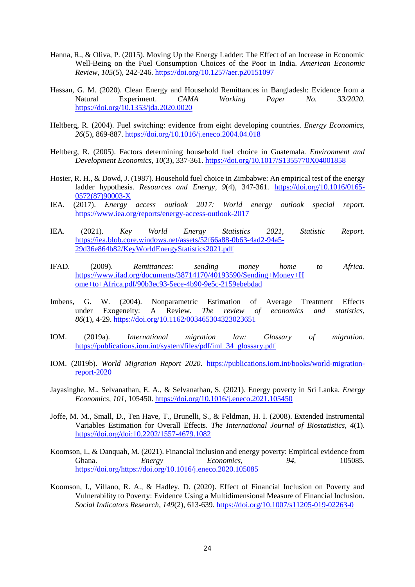- Hanna, R., & Oliva, P. (2015). Moving Up the Energy Ladder: The Effect of an Increase in Economic Well-Being on the Fuel Consumption Choices of the Poor in India. *American Economic Review*, *105*(5), 242-246.<https://doi.org/10.1257/aer.p20151097>
- Hassan, G. M. (2020). Clean Energy and Household Remittances in Bangladesh: Evidence from a Natural Experiment. *CAMA Working Paper No. 33/2020*. <https://doi.org/10.1353/jda.2020.0020>
- Heltberg, R. (2004). Fuel switching: evidence from eight developing countries. *Energy Economics*, *26*(5), 869-887.<https://doi.org/10.1016/j.eneco.2004.04.018>
- Heltberg, R. (2005). Factors determining household fuel choice in Guatemala. *Environment and Development Economics*, *10*(3), 337-361[. https://doi.org/10.1017/S1355770X04001858](https://doi.org/10.1017/S1355770X04001858)
- Hosier, R. H., & Dowd, J. (1987). Household fuel choice in Zimbabwe: An empirical test of the energy ladder hypothesis. *Resources and Energy*, *9*(4), 347-361. [https://doi.org/10.1016/0165-](https://doi.org/10.1016/0165-0572(87)90003-X) [0572\(87\)90003-X](https://doi.org/10.1016/0165-0572(87)90003-X)
- IEA. (2017). *Energy access outlook 2017: World energy outlook special report*. <https://www.iea.org/reports/energy-access-outlook-2017>
- IEA. (2021). *Key World Energy Statistics 2021, Statistic Report*. [https://iea.blob.core.windows.net/assets/52f66a88-0b63-4ad2-94a5-](https://iea.blob.core.windows.net/assets/52f66a88-0b63-4ad2-94a5-29d36e864b82/KeyWorldEnergyStatistics2021.pdf) [29d36e864b82/KeyWorldEnergyStatistics2021.pdf](https://iea.blob.core.windows.net/assets/52f66a88-0b63-4ad2-94a5-29d36e864b82/KeyWorldEnergyStatistics2021.pdf)
- IFAD. (2009). *Remittances: sending money home to Africa*. [https://www.ifad.org/documents/38714170/40193590/Sending+Money+H](https://www.ifad.org/documents/38714170/40193590/Sending+Money+Home+to+Africa.pdf/90b3ec93-5ece-4b90-9e5c-2159ebebdad) [ome+to+Africa.pdf/90b3ec93-5ece-4b90-9e5c-2159ebebdad](https://www.ifad.org/documents/38714170/40193590/Sending+Money+Home+to+Africa.pdf/90b3ec93-5ece-4b90-9e5c-2159ebebdad)
- Imbens, G. W. (2004). Nonparametric Estimation of Average Treatment Effects under Exogeneity: A Review. *The review of economics and statistics*, *86*(1), 4-29.<https://doi.org/10.1162/003465304323023651>
- IOM. (2019a). *International migration law: Glossary of migration*. [https://publications.iom.int/system/files/pdf/iml\\_34\\_glossary.pdf](https://publications.iom.int/system/files/pdf/iml_34_glossary.pdf)
- IOM. (2019b). *World Migration Report 2020*. [https://publications.iom.int/books/world-migration](https://publications.iom.int/books/world-migration-report-2020)[report-2020](https://publications.iom.int/books/world-migration-report-2020)
- Jayasinghe, M., Selvanathan, E. A., & Selvanathan, S. (2021). Energy poverty in Sri Lanka. *Energy Economics*, *101*, 105450.<https://doi.org/10.1016/j.eneco.2021.105450>
- Joffe, M. M., Small, D., Ten Have, T., Brunelli, S., & Feldman, H. I. (2008). Extended Instrumental Variables Estimation for Overall Effects. *The International Journal of Biostatistics*, *4*(1). <https://doi.org/doi:10.2202/1557-4679.1082>
- Koomson, I., & Danquah, M. (2021). Financial inclusion and energy poverty: Empirical evidence from Ghana. *Energy Economics*, 94, 105085. [https://doi.org/https://doi.org/10.1016/j.eneco.2020.105085](https://doi.org/https:/doi.org/10.1016/j.eneco.2020.105085)
- Koomson, I., Villano, R. A., & Hadley, D. (2020). Effect of Financial Inclusion on Poverty and Vulnerability to Poverty: Evidence Using a Multidimensional Measure of Financial Inclusion. *Social Indicators Research*, *149*(2), 613-639[. https://doi.org/10.1007/s11205-019-02263-0](https://doi.org/10.1007/s11205-019-02263-0)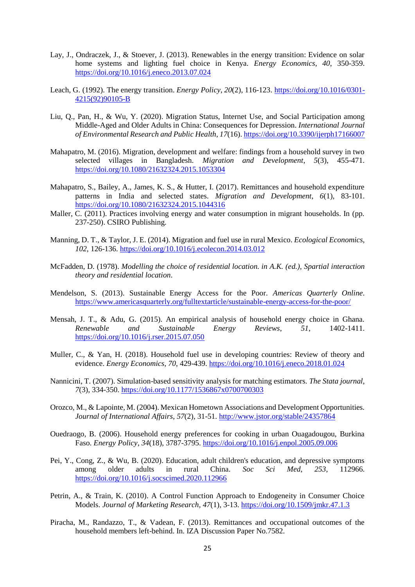- Lay, J., Ondraczek, J., & Stoever, J. (2013). Renewables in the energy transition: Evidence on solar home systems and lighting fuel choice in Kenya. *Energy Economics*, *40*, 350-359. <https://doi.org/10.1016/j.eneco.2013.07.024>
- Leach, G. (1992). The energy transition. *Energy Policy*, *20*(2), 116-123. [https://doi.org/10.1016/0301-](https://doi.org/10.1016/0301-4215(92)90105-B) [4215\(92\)90105-B](https://doi.org/10.1016/0301-4215(92)90105-B)
- Liu, Q., Pan, H., & Wu, Y. (2020). Migration Status, Internet Use, and Social Participation among Middle-Aged and Older Adults in China: Consequences for Depression. *International Journal of Environmental Research and Public Health*, *17*(16).<https://doi.org/10.3390/ijerph17166007>
- Mahapatro, M. (2016). Migration, development and welfare: findings from a household survey in two selected villages in Bangladesh. *Migration and Development*, *5*(3), 455-471. <https://doi.org/10.1080/21632324.2015.1053304>
- Mahapatro, S., Bailey, A., James, K. S., & Hutter, I. (2017). Remittances and household expenditure patterns in India and selected states. *Migration and Development*, *6*(1), 83-101. <https://doi.org/10.1080/21632324.2015.1044316>
- Maller, C. (2011). Practices involving energy and water consumption in migrant households. In (pp. 237-250). CSIRO Publishing.
- Manning, D. T., & Taylor, J. E. (2014). Migration and fuel use in rural Mexico. *Ecological Economics*, *102*, 126-136.<https://doi.org/10.1016/j.ecolecon.2014.03.012>
- McFadden, D. (1978). *Modelling the choice of residential location. in A.K. (ed.), Spartial interaction theory and residential location*.
- Mendelson, S. (2013). Sustainable Energy Access for the Poor. *Americas Quarterly Online*. <https://www.americasquarterly.org/fulltextarticle/sustainable-energy-access-for-the-poor/>
- Mensah, J. T., & Adu, G. (2015). An empirical analysis of household energy choice in Ghana. *Renewable and Sustainable Energy Reviews*, *51*, 1402-1411. <https://doi.org/10.1016/j.rser.2015.07.050>
- Muller, C., & Yan, H. (2018). Household fuel use in developing countries: Review of theory and evidence. *Energy Economics*, *70*, 429-439[. https://doi.org/10.1016/j.eneco.2018.01.024](https://doi.org/10.1016/j.eneco.2018.01.024)
- Nannicini, T. (2007). Simulation-based sensitivity analysis for matching estimators. *The Stata journal*, *7*(3), 334-350.<https://doi.org/10.1177/1536867x0700700303>
- Orozco, M., & Lapointe, M. (2004). Mexican Hometown Associations and Development Opportunities. *Journal of International Affairs*, *57*(2), 31-51[. http://www.jstor.org/stable/24357864](http://www.jstor.org/stable/24357864)
- Ouedraogo, B. (2006). Household energy preferences for cooking in urban Ouagadougou, Burkina Faso. *Energy Policy*, *34*(18), 3787-3795[. https://doi.org/10.1016/j.enpol.2005.09.006](https://doi.org/10.1016/j.enpol.2005.09.006)
- Pei, Y., Cong, Z., & Wu, B. (2020). Education, adult children's education, and depressive symptoms among older adults in rural China. *Soc Sci Med*, *253*, 112966. <https://doi.org/10.1016/j.socscimed.2020.112966>
- Petrin, A., & Train, K. (2010). A Control Function Approach to Endogeneity in Consumer Choice Models. *Journal of Marketing Research*, *47*(1), 3-13[. https://doi.org/10.1509/jmkr.47.1.3](https://doi.org/10.1509/jmkr.47.1.3)
- Piracha, M., Randazzo, T., & Vadean, F. (2013). Remittances and occupational outcomes of the household members left-behind. In. IZA Discussion Paper No.7582.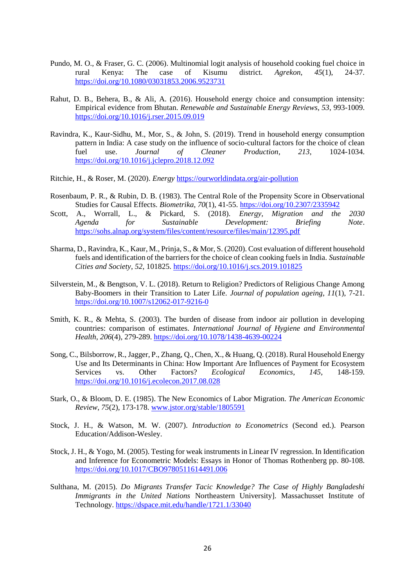- Pundo, M. O., & Fraser, G. C. (2006). Multinomial logit analysis of household cooking fuel choice in rural Kenya: The case of Kisumu district. *Agrekon*, *45*(1), 24-37. <https://doi.org/10.1080/03031853.2006.9523731>
- Rahut, D. B., Behera, B., & Ali, A. (2016). Household energy choice and consumption intensity: Empirical evidence from Bhutan. *Renewable and Sustainable Energy Reviews*, *53*, 993-1009. <https://doi.org/10.1016/j.rser.2015.09.019>
- Ravindra, K., Kaur-Sidhu, M., Mor, S., & John, S. (2019). Trend in household energy consumption pattern in India: A case study on the influence of socio-cultural factors for the choice of clean fuel use. *Journal of Cleaner Production*, *213*, 1024-1034. <https://doi.org/10.1016/j.jclepro.2018.12.092>
- Ritchie, H., & Roser, M. (2020). *Energy* <https://ourworldindata.org/air-pollution>
- Rosenbaum, P. R., & Rubin, D. B. (1983). The Central Role of the Propensity Score in Observational Studies for Causal Effects. *Biometrika*, *70*(1), 41-55[. https://doi.org/10.2307/2335942](https://doi.org/10.2307/2335942)
- Scott, A., Worrall, L., & Pickard, S. (2018). *Energy, Migration and the 2030 Agenda for Sustainable Development: Briefing Note*. <https://sohs.alnap.org/system/files/content/resource/files/main/12395.pdf>
- Sharma, D., Ravindra, K., Kaur, M., Prinja, S., & Mor, S. (2020). Cost evaluation of different household fuels and identification of the barriers for the choice of clean cooking fuels in India. *Sustainable Cities and Society*, *52*, 101825[. https://doi.org/10.1016/j.scs.2019.101825](https://doi.org/10.1016/j.scs.2019.101825)
- Silverstein, M., & Bengtson, V. L. (2018). Return to Religion? Predictors of Religious Change Among Baby-Boomers in their Transition to Later Life. *Journal of population ageing*, *11*(1), 7-21. <https://doi.org/10.1007/s12062-017-9216-0>
- Smith, K. R., & Mehta, S. (2003). The burden of disease from indoor air pollution in developing countries: comparison of estimates. *International Journal of Hygiene and Environmental Health*, *206*(4), 279-289[. https://doi.org/10.1078/1438-4639-00224](https://doi.org/10.1078/1438-4639-00224)
- Song, C., Bilsborrow, R., Jagger, P., Zhang, Q., Chen, X., & Huang, Q. (2018). Rural Household Energy Use and Its Determinants in China: How Important Are Influences of Payment for Ecosystem Services vs. Other Factors? *Ecological Economics*, *145*, 148-159. <https://doi.org/10.1016/j.ecolecon.2017.08.028>
- Stark, O., & Bloom, D. E. (1985). The New Economics of Labor Migration. *The American Economic Review*, *75*(2), 173-178[. www.jstor.org/stable/1805591](file:///C:/Users/geuaboe/Downloads/www.jstor.org/stable/1805591)
- Stock, J. H., & Watson, M. W. (2007). *Introduction to Econometrics* (Second ed.). Pearson Education/Addison-Wesley.
- Stock, J. H., & Yogo, M. (2005). Testing for weak instruments in Linear IV regression. In Identification and Inference for Econometric Models: Essays in Honor of Thomas Rothenberg pp. 80-108. <https://doi.org/10.1017/CBO9780511614491.006>
- Sulthana, M. (2015). *Do Migrants Transfer Tacic Knowledge? The Case of Highly Bangladeshi Immigrants in the United Nations* Northeastern University]. Massachusset Institute of Technology.<https://dspace.mit.edu/handle/1721.1/33040>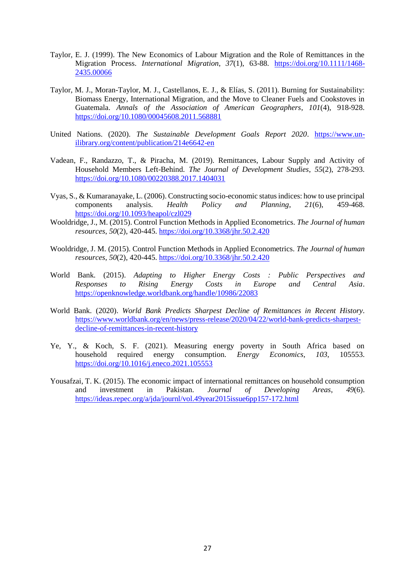- Taylor, E. J. (1999). The New Economics of Labour Migration and the Role of Remittances in the Migration Process. *International Migration*, *37*(1), 63-88. [https://doi.org/10.1111/1468-](https://doi.org/10.1111/1468-2435.00066) [2435.00066](https://doi.org/10.1111/1468-2435.00066)
- Taylor, M. J., Moran-Taylor, M. J., Castellanos, E. J., & Elías, S. (2011). Burning for Sustainability: Biomass Energy, International Migration, and the Move to Cleaner Fuels and Cookstoves in Guatemala. *Annals of the Association of American Geographers*, *101*(4), 918-928. <https://doi.org/10.1080/00045608.2011.568881>
- United Nations. (2020). *The Sustainable Development Goals Report 2020*. [https://www.un](https://www.un-ilibrary.org/content/publication/214e6642-en)[ilibrary.org/content/publication/214e6642-en](https://www.un-ilibrary.org/content/publication/214e6642-en)
- Vadean, F., Randazzo, T., & Piracha, M. (2019). Remittances, Labour Supply and Activity of Household Members Left-Behind. *The Journal of Development Studies*, *55*(2), 278-293. <https://doi.org/10.1080/00220388.2017.1404031>
- Vyas, S., & Kumaranayake, L. (2006). Constructing socio-economic status indices: how to use principal components analysis. *Health Policy and Planning*, *21*(6), 459-468. <https://doi.org/10.1093/heapol/czl029>
- Wooldridge, J., M. (2015). Control Function Methods in Applied Econometrics. *The Journal of human resources*, *50*(2), 420-445.<https://doi.org/10.3368/jhr.50.2.420>
- Wooldridge, J. M. (2015). Control Function Methods in Applied Econometrics. *The Journal of human resources*, *50*(2), 420-445.<https://doi.org/10.3368/jhr.50.2.420>
- World Bank. (2015). *Adapting to Higher Energy Costs : Public Perspectives and Responses to Rising Energy Costs in Europe and Central Asia*. <https://openknowledge.worldbank.org/handle/10986/22083>
- World Bank. (2020). *World Bank Predicts Sharpest Decline of Remittances in Recent History*. [https://www.worldbank.org/en/news/press-release/2020/04/22/world-bank-predicts-sharpest](https://www.worldbank.org/en/news/press-release/2020/04/22/world-bank-predicts-sharpest-decline-of-remittances-in-recent-history)[decline-of-remittances-in-recent-history](https://www.worldbank.org/en/news/press-release/2020/04/22/world-bank-predicts-sharpest-decline-of-remittances-in-recent-history)
- Ye, Y., & Koch, S. F. (2021). Measuring energy poverty in South Africa based on household required energy consumption. *Energy Economics*, *103*, 105553. <https://doi.org/10.1016/j.eneco.2021.105553>
- Yousafzai, T. K. (2015). The economic impact of international remittances on household consumption and investment in Pakistan. *Journal of Developing Areas*, *49*(6). <https://ideas.repec.org/a/jda/journl/vol.49year2015issue6pp157-172.html>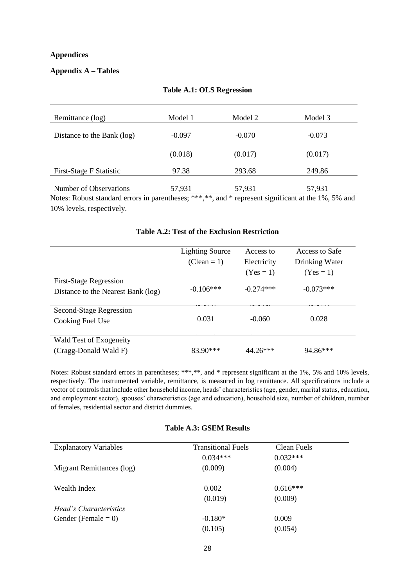#### **Appendices**

## **Appendix A – Tables**

| Remittance (log)                                                                                    | Model 1  | Model 2  | Model 3  |
|-----------------------------------------------------------------------------------------------------|----------|----------|----------|
| Distance to the Bank (log)                                                                          | $-0.097$ | $-0.070$ | $-0.073$ |
|                                                                                                     | (0.018)  | (0.017)  | (0.017)  |
| First-Stage F Statistic                                                                             | 97.38    | 293.68   | 249.86   |
| Number of Observations                                                                              | 57,931   | 57,931   | 57,931   |
| Notes: Robust standard errors in parentheses; ***,**, and * represent significant at the 1%, 5% and |          |          |          |

#### **Table A.1: OLS Regression**

Notes: Robust standard errors in parentheses; \*\*\*,\*\*, and \* represent significant at the 1%, 5% and 10% levels, respectively.

|                                                                     | <b>Lighting Source</b><br>$(Clean = 1)$ | Access to<br>Electricity<br>$(Yes = 1)$ | Access to Safe<br>Drinking Water<br>$(Yes = 1)$ |
|---------------------------------------------------------------------|-----------------------------------------|-----------------------------------------|-------------------------------------------------|
| <b>First-Stage Regression</b><br>Distance to the Nearest Bank (log) | $-0.106***$                             | $-0.274***$                             | $-0.073***$                                     |
| Second-Stage Regression<br>Cooking Fuel Use                         | 0.031                                   | $-0.060$                                | 0.028                                           |
| Wald Test of Exogeneity<br>(Cragg-Donald Wald F)                    | $83.90***$                              | $44.26***$                              | $94.86***$                                      |

#### **Table A.2: Test of the Exclusion Restriction**

Notes: Robust standard errors in parentheses; \*\*\*,\*\*, and \* represent significant at the 1%, 5% and 10% levels, respectively. The instrumented variable, remittance, is measured in log remittance. All specifications include a vector of controls that include other household income, heads' characteristics (age, gender, marital status, education, and employment sector), spouses' characteristics (age and education), household size, number of children, number of females, residential sector and district dummies.

#### **Table A.3: GSEM Results**

| <b>Explanatory Variables</b>  | <b>Transitional Fuels</b> | Clean Fuels |
|-------------------------------|---------------------------|-------------|
|                               | $0.034***$                | $0.032***$  |
| Migrant Remittances (log)     | (0.009)                   | (0.004)     |
| Wealth Index                  | 0.002                     | $0.616***$  |
|                               | (0.019)                   | (0.009)     |
| <i>Head's Characteristics</i> |                           |             |
| Gender (Female $= 0$ )        | $-0.180*$                 | 0.009       |
|                               | (0.105)                   | (0.054)     |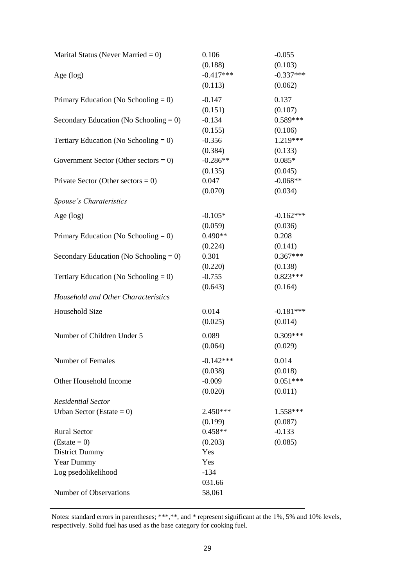| Marital Status (Never Married = $0$ )     | 0.106<br>(0.188) | $-0.055$<br>(0.103) |
|-------------------------------------------|------------------|---------------------|
| Age (log)                                 | $-0.417***$      | $-0.337***$         |
|                                           | (0.113)          | (0.062)             |
| Primary Education (No Schooling = $0$ )   | $-0.147$         | 0.137               |
|                                           | (0.151)          | (0.107)             |
| Secondary Education (No Schooling $= 0$ ) | $-0.134$         | $0.589***$          |
|                                           | (0.155)          | (0.106)             |
| Tertiary Education (No Schooling = $0$ )  | $-0.356$         | 1.219***            |
|                                           | (0.384)          | (0.133)             |
| Government Sector (Other sectors = $0$ )  | $-0.286**$       | $0.085*$            |
|                                           | (0.135)          | (0.045)             |
| Private Sector (Other sectors = $0$ )     | 0.047            | $-0.068**$          |
|                                           | (0.070)          | (0.034)             |
| Spouse's Charateristics                   |                  |                     |
| Age $(log)$                               | $-0.105*$        | $-0.162***$         |
|                                           | (0.059)          | (0.036)             |
| Primary Education (No Schooling = 0)      | $0.490**$        | 0.208               |
|                                           | (0.224)          | (0.141)             |
| Secondary Education (No Schooling = $0$ ) | 0.301            | $0.367***$          |
|                                           | (0.220)          | (0.138)             |
| Tertiary Education (No Schooling = $0$ )  | $-0.755$         | $0.823***$          |
|                                           | (0.643)          | (0.164)             |
| Household and Other Characteristics       |                  |                     |
| Household Size                            | 0.014            | $-0.181***$         |
|                                           | (0.025)          | (0.014)             |
| Number of Children Under 5                | 0.089            | $0.309***$          |
|                                           | (0.064)          | (0.029)             |
| Number of Females                         | $-0.142***$      | 0.014               |
|                                           | (0.038)          | (0.018)             |
| Other Household Income                    | $-0.009$         | $0.051***$          |
|                                           | (0.020)          | (0.011)             |
| <b>Residential Sector</b>                 |                  |                     |
| Urban Sector (Estate = $0$ )              | 2.450***         | 1.558***            |
|                                           | (0.199)          | (0.087)             |
| <b>Rural Sector</b>                       | $0.458**$        | $-0.133$            |
| $(Estate = 0)$                            | (0.203)          | (0.085)             |
| <b>District Dummy</b>                     | Yes              |                     |
| Year Dummy                                | Yes              |                     |
| Log psedolikelihood                       | $-134$           |                     |
|                                           | 031.66           |                     |
| Number of Observations                    | 58,061           |                     |

Notes: standard errors in parentheses; \*\*\*,\*\*, and \* represent significant at the 1%, 5% and 10% levels, respectively. Solid fuel has used as the base category for cooking fuel.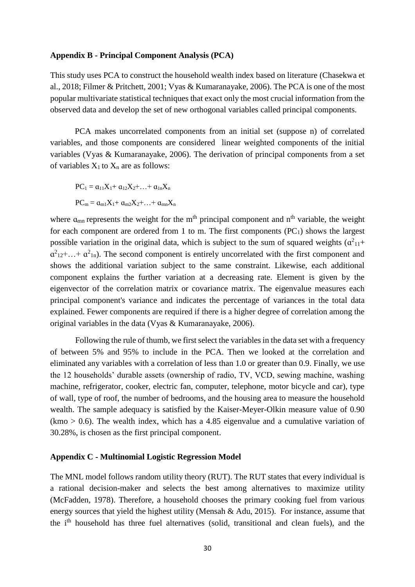#### **Appendix B - Principal Component Analysis (PCA)**

This study uses PCA to construct the household wealth index based on literature (Chasekwa et al., 2018; Filmer & Pritchett, 2001; Vyas & Kumaranayake, 2006). The PCA is one of the most popular multivariate statistical techniques that exact only the most crucial information from the observed data and develop the set of new orthogonal variables called principal components.

PCA makes uncorrelated components from an initial set (suppose n) of correlated variables, and those components are considered linear weighted components of the initial variables (Vyas & Kumaranayake, 2006). The derivation of principal components from a set of variables  $X_1$  to  $X_n$  are as follows:

$$
PC_{1} = \alpha_{11}X_{1} + \alpha_{12}X_{2} + ... + \alpha_{1n}X_{n}
$$

$$
PC_{m} = \alpha_{m1}X_{1} + \alpha_{m2}X_{2} + ... + \alpha_{mn}X_{n}
$$

where  $a_{mn}$  represents the weight for the m<sup>th</sup> principal component and  $n<sup>th</sup>$  variable, the weight for each component are ordered from 1 to m. The first components  $(PC_1)$  shows the largest possible variation in the original data, which is subject to the sum of squared weights  $(a<sup>2</sup>_{11}+)$  $\alpha^{2}_{12}+\ldots+\alpha^{2}_{1n}$ ). The second component is entirely uncorrelated with the first component and shows the additional variation subject to the same constraint. Likewise, each additional component explains the further variation at a decreasing rate. Element is given by the eigenvector of the correlation matrix or covariance matrix. The eigenvalue measures each principal component's variance and indicates the percentage of variances in the total data explained. Fewer components are required if there is a higher degree of correlation among the original variables in the data (Vyas & Kumaranayake, 2006).

Following the rule of thumb, we first select the variables in the data set with a frequency of between 5% and 95% to include in the PCA. Then we looked at the correlation and eliminated any variables with a correlation of less than 1.0 or greater than 0.9. Finally, we use the 12 households' durable assets (ownership of radio, TV, VCD, sewing machine, washing machine, refrigerator, cooker, electric fan, computer, telephone, motor bicycle and car), type of wall, type of roof, the number of bedrooms, and the housing area to measure the household wealth. The sample adequacy is satisfied by the Kaiser-Meyer-Olkin measure value of 0.90  $(kmo > 0.6)$ . The wealth index, which has a 4.85 eigenvalue and a cumulative variation of 30.28%, is chosen as the first principal component.

#### **Appendix C - Multinomial Logistic Regression Model**

The MNL model follows random utility theory (RUT). The RUT states that every individual is a rational decision-maker and selects the best among alternatives to maximize utility (McFadden, 1978). Therefore, a household chooses the primary cooking fuel from various energy sources that yield the highest utility (Mensah & Adu, 2015). For instance, assume that the ith household has three fuel alternatives (solid, transitional and clean fuels), and the